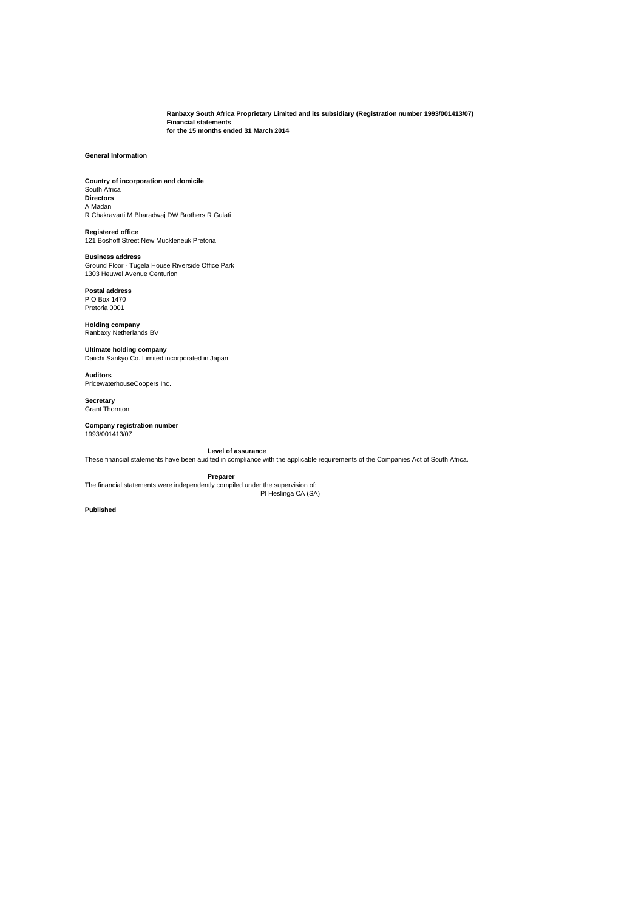**Ranbaxy South Africa Proprietary Limited and its subsidiary (Registration number 1993/001413/07) Financial statements for the 15 months ended 31 March 2014**

**General Information**

**Country of incorporation and domicile** South Africa **Directors** A Madan R Chakravarti M Bharadwaj DW Brothers R Gulati

**Registered office** 121 Boshoff Street New Muckleneuk Pretoria

**Business address**<br>Ground Floor - Tugela House Riverside Office Park<br>1303 Heuwel Avenue Centurion

**Postal address** P O Box 1470 Pretoria 0001

**Holding company** Ranbaxy Netherlands BV

**Ultimate holding company** Daiichi Sankyo Co. Limited incorporated in Japan

**Auditors** PricewaterhouseCoopers Inc.

**Secretary** Grant Thornton

**Company registration number** 1993/001413/07

**Level of assurance**<br>These financial statements have been audited in compliance with the applicable requirements of the Companies Act of South Africa.

**Preparer**

The financial statements were independently compiled under the supervision of: PI Heslinga CA (SA)

**Published**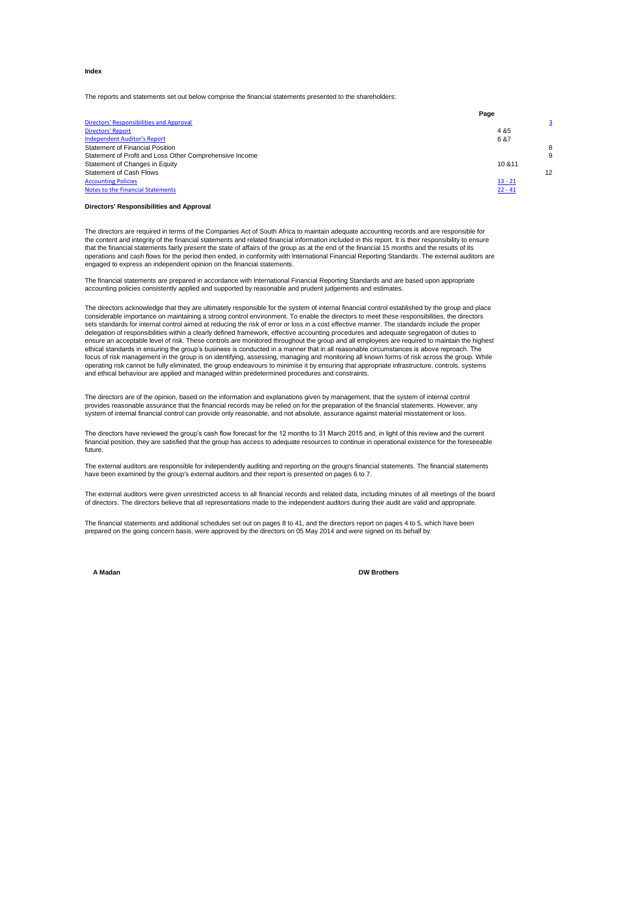**Index**

The reports and statements set out below comprise the financial statements presented to the shareholders:

|                                                         | Page      |    |
|---------------------------------------------------------|-----------|----|
| Directors' Responsibilities and Approval                |           | 3  |
| <b>Directors' Report</b>                                | 4 & 5     |    |
| <b>Independent Auditor's Report</b>                     | 6 & 7     |    |
| Statement of Financial Position                         |           | 8  |
| Statement of Profit and Loss Other Comprehensive Income |           | 9  |
| Statement of Changes in Equity                          | 10 & 11   |    |
| Statement of Cash Flows                                 |           | 12 |
| <b>Accounting Policies</b>                              | $13 - 21$ |    |
| Notes to the Financial Statements                       | $22 - 41$ |    |
|                                                         |           |    |

# **Directors' Responsibilities and Approval**

The directors are required in terms of the Companies Act of South Africa to maintain adequate accounting records and are responsible for the content and integrity of the financial statements and related financial information included in this report. It is their responsibility to ensure that the financial statements fairly present the state of affairs of the group as at the end of the financial 15 months and the results of its operations and cash flows for the period then ended, in conformity with International Financial Reporting Standards. The external auditors are engaged to express an independent opinion on the financial statements.

The financial statements are prepared in accordance with International Financial Reporting Standards and are based upon appropriate accounting policies consistently applied and supported by reasonable and prudent judgements and estimates.

The directors acknowledge that they are ultimately responsible for the system of internal financial control established by the group and place<br>considerable importance on maintaining a strong control environment. To enable sets standards for internal control aimed at reducing the risk of error or loss in a cost effective manner. The standards include the proper delegation of responsibilities within a clearly defined framework, effective accounting procedures and adequate segregation of duties to ensure an acceptable level of risk. These controls are monitored throughout the group and all employees are required to maintain the highest<br>ethical standards in ensuring the group's business is conducted in a manner that focus of risk management in the group is on identifying, assessing, managing and monitoring all known forms of risk across the group. While operating risk cannot be fully eliminated, the group endeavours to minimise it by ensuring that appropriate infrastructure, controls, systems<br>and ethical behaviour are applied and managed within predetermined procedures an

The directors are of the opinion, based on the information and explanations given by management, that the system of internal control provides reasonable assurance that the financial records may be relied on for the preparation of the financial statements. However, any system of internal financial control can provide only reasonable, and not absolute, assurance against material misstatement or loss.

The directors have reviewed the group's cash flow forecast for the 12 months to 31 March 2015 and, in light of this review and the current financial position, they are satisfied that the group has access to adequate resources to continue in operational existence for the foreseeable future.

The external auditors are responsible for independently auditing and reporting on the group's financial statements. The financial statements have been examined by the group's external auditors and their report is presented on pages 6 to 7.

The external auditors were given unrestricted access to all financial records and related data, including minutes of all meetings of the board of directors. The directors believe that all representations made to the independent auditors during their audit are valid and appropriate.

The financial statements and additional schedules set out on pages 8 to 41, and the directors report on pages 4 to 5, which have been prepared on the going concern basis, were approved by the directors on 05 May 2014 and were signed on its behalf by:

**A Madan DW Brothers**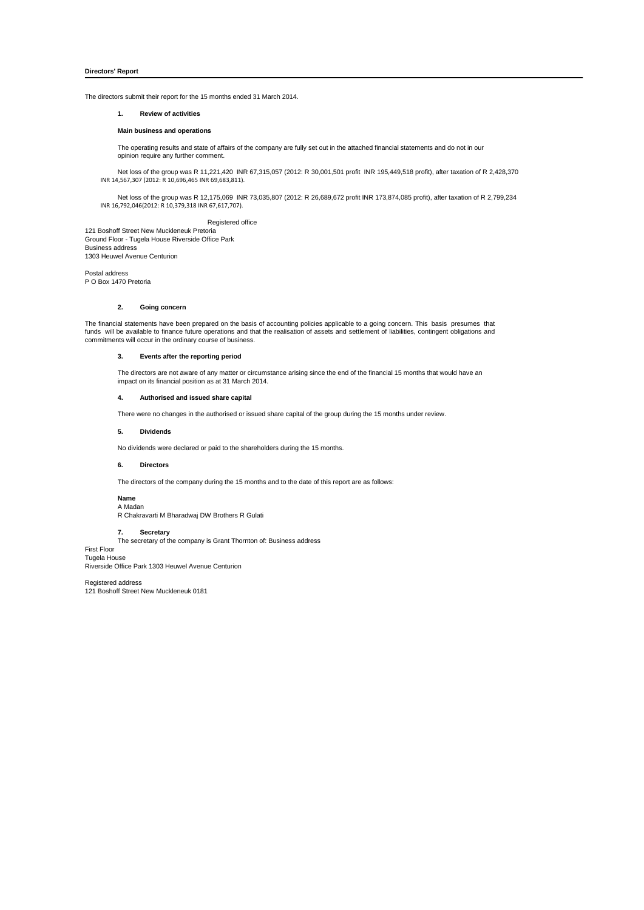The directors submit their report for the 15 months ended 31 March 2014.

#### **1. Review of activities**

### **Main business and operations**

The operating results and state of affairs of the company are fully set out in the attached financial statements and do not in our opinion require any further comment.

Net loss of the group was R 11,221,420 INR 67,315,057 (2012: R 30,001,501 profit INR 195,449,518 profit), after taxation of R 2,428,370 INR 14,567,307 (2012: R 10,696,465 INR 69,683,811).

Net loss of the group was R 12,175,069 INR 73,035,807 (2012: R 26,689,672 profit INR 173,874,085 profit), after taxation of R 2,799,234 INR 16,792,046(2012: R 10,379,318 INR 67,617,707).

#### Registered office

121 Boshoff Street New Muckleneuk Pretoria Ground Floor - Tugela House Riverside Office Park Business address 1303 Heuwel Avenue Centurion

Postal address P O Box 1470 Pretoria

### **2. Going concern**

The financial statements have been prepared on the basis of accounting policies applicable to a going concern. This basis presumes that<br>funds will be available to finance future operations and that the realisation of asset commitments will occur in the ordinary course of business.

#### **3. Events after the reporting period**

The directors are not aware of any matter or circumstance arising since the end of the financial 15 months that would have an impact on its financial position as at 31 March 2014.

### **4. Authorised and issued share capital**

There were no changes in the authorised or issued share capital of the group during the 15 months under review.

# **5. Dividends**

No dividends were declared or paid to the shareholders during the 15 months.

# **6. Directors**

The directors of the company during the 15 months and to the date of this report are as follows:

#### **Name** A Madan

R Chakravarti M Bharadwaj DW Brothers R Gulati

**7. Secretary** The secretary of the company is Grant Thornton of: Business address

First Floor Tugela House Riverside Office Park 1303 Heuwel Avenue Centurion

Registered address 121 Boshoff Street New Muckleneuk 0181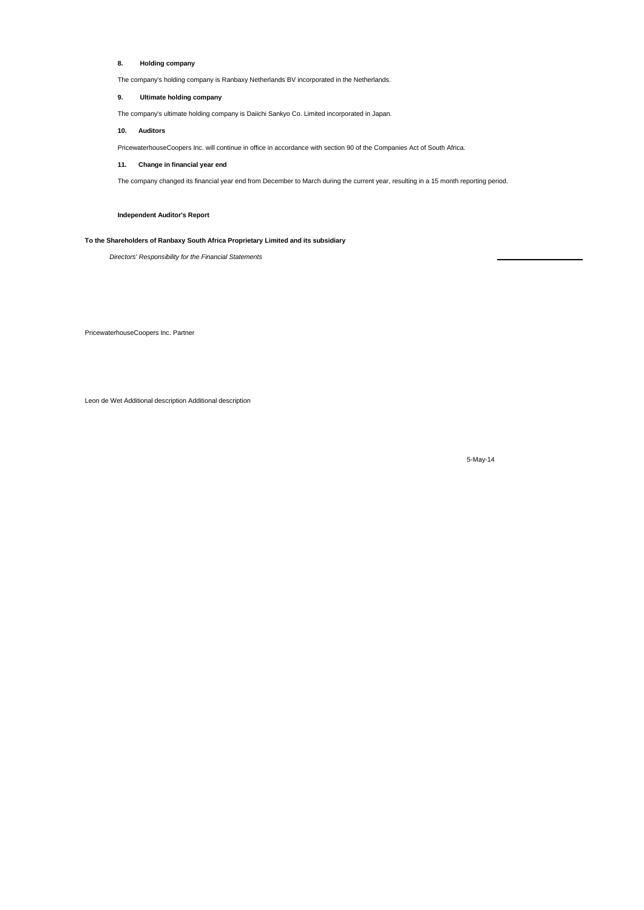# **8. Holding company**

The company's holding company is Ranbaxy Netherlands BV incorporated in the Netherlands.

# **9. Ultimate holding company**

The company's ultimate holding company is Daiichi Sankyo Co. Limited incorporated in Japan.

### **10. Auditors**

PricewaterhouseCoopers Inc. will continue in office in accordance with section 90 of the Companies Act of South Africa.

# **11. Change in financial year end**

The company changed its financial year end from December to March during the current year, resulting in a 15 month reporting period.

# **Independent Auditor's Report**

### **To the Shareholders of Ranbaxy South Africa Proprietary Limited and its subsidiary**

*Directors' Responsibility for the Financial Statements*

PricewaterhouseCoopers Inc. Partner

Leon de Wet Additional description Additional description

5-May-14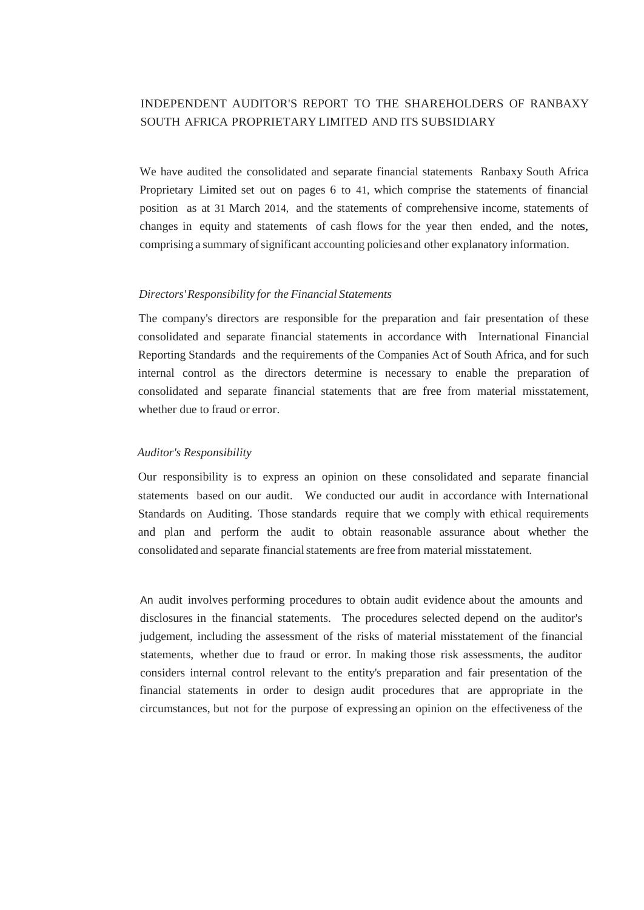# INDEPENDENT AUDITOR'S REPORT TO THE SHAREHOLDERS OF RANBAXY SOUTH AFRICA PROPRIETARY LIMITED AND ITS SUBSIDIARY

We have audited the consolidated and separate financial statements Ranbaxy South Africa Proprietary Limited set out on pages 6 to 41, which comprise the statements of financial position as at 31 March 2014, and the statements of comprehensive income, statements of changes in equity and statements of cash flows for the year then ended, and the notes, comprising a summary of significant accounting policies and other explanatory information.

# *Directors'Responsibility for the Financial Statements*

The company's directors are responsible for the preparation and fair presentation of these consolidated and separate financial statements in accordance with International Financial Reporting Standards and the requirements of the Companies Act of South Africa, and for such internal control as the directors determine is necessary to enable the preparation of consolidated and separate financial statements that are free from material misstatement, whether due to fraud or error.

# *Auditor's Responsibility*

Our responsibility is to express an opinion on these consolidated and separate financial statements based on our audit. We conducted our audit in accordance with International Standards on Auditing. Those standards require that we comply with ethical requirements and plan and perform the audit to obtain reasonable assurance about whether the consolidated and separate financial statements are free from material misstatement.

An audit involves performing procedures to obtain audit evidence about the amounts and disclosures in the financial statements. The procedures selected depend on the auditor's judgement, including the assessment of the risks of material misstatement of the financial statements, whether due to fraud or error. In making those risk assessments, the auditor considers internal control relevant to the entity's preparation and fair presentation of the financial statements in order to design audit procedures that are appropriate in the circumstances, but not for the purpose of expressing an opinion on the effectiveness of the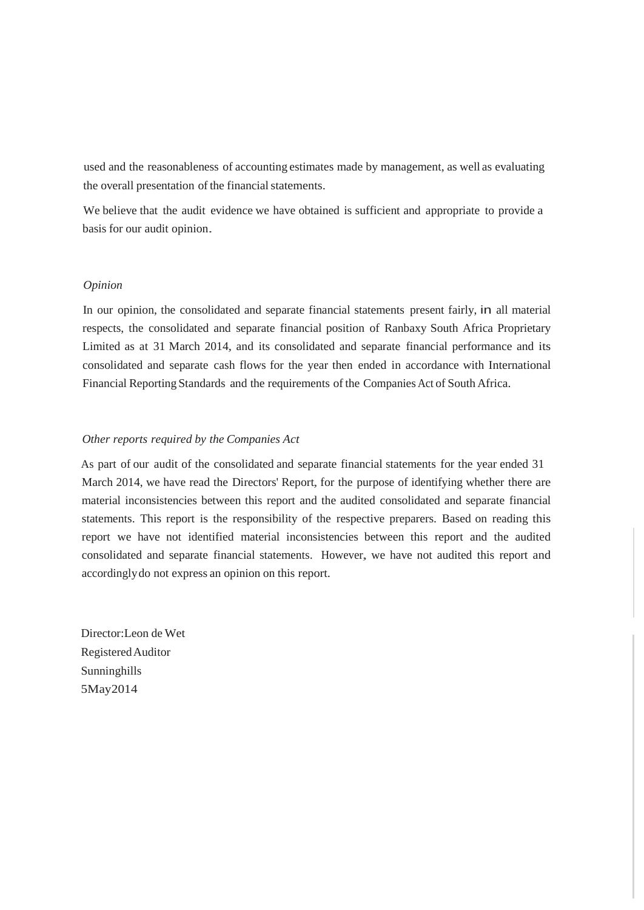used and the reasonableness of accounting estimates made by management, as well as evaluating the overall presentation of the financial statements.

We believe that the audit evidence we have obtained is sufficient and appropriate to provide a basis for our audit opinion.

# *Opinion*

In our opinion, the consolidated and separate financial statements present fairly, in all material respects, the consolidated and separate financial position of Ranbaxy South Africa Proprietary Limited as at 31 March 2014, and its consolidated and separate financial performance and its consolidated and separate cash flows for the year then ended in accordance with International Financial Reporting Standards and the requirements of the Companies Act of South Africa.

# *Other reports required by the Companies Act*

As part of our audit of the consolidated and separate financial statements for the year ended 31 March 2014, we have read the Directors' Report, for the purpose of identifying whether there are material inconsistencies between this report and the audited consolidated and separate financial statements. This report is the responsibility of the respective preparers. Based on reading this report we have not identified material inconsistencies between this report and the audited consolidated and separate financial statements. However, we have not audited this report and accordinglydo not express an opinion on this report.

Director:Leon de Wet RegisteredAuditor Sunninghills 5May2014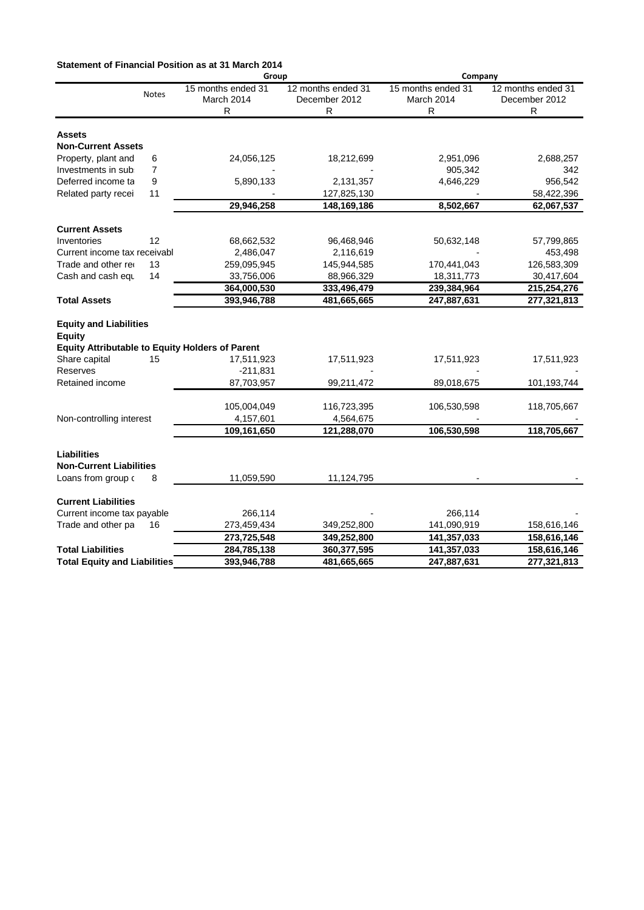# **Statement of Financial Position as at 31 March 2014**

|                                                |                | Group                                                  |                    | Company            |                    |  |  |
|------------------------------------------------|----------------|--------------------------------------------------------|--------------------|--------------------|--------------------|--|--|
|                                                | <b>Notes</b>   | 15 months ended 31                                     | 12 months ended 31 | 15 months ended 31 | 12 months ended 31 |  |  |
|                                                |                | March 2014                                             | December 2012      | March 2014         | December 2012      |  |  |
|                                                |                | $\mathsf R$                                            | $\mathsf{R}$       | R                  | R                  |  |  |
| <b>Assets</b>                                  |                |                                                        |                    |                    |                    |  |  |
| <b>Non-Current Assets</b>                      |                |                                                        |                    |                    |                    |  |  |
| Property, plant and                            | 6              | 24,056,125                                             | 18,212,699         | 2,951,096          | 2,688,257          |  |  |
| Investments in sub                             | $\overline{7}$ |                                                        |                    | 905,342            | 342                |  |  |
| Deferred income ta                             | 9              | 5,890,133                                              | 2,131,357          | 4,646,229          | 956,542            |  |  |
| Related party recei                            | 11             |                                                        | 127,825,130        |                    | 58,422,396         |  |  |
|                                                |                | 29,946,258                                             | 148,169,186        | 8,502,667          | 62,067,537         |  |  |
|                                                |                |                                                        |                    |                    |                    |  |  |
| <b>Current Assets</b>                          |                |                                                        |                    |                    |                    |  |  |
| Inventories                                    | 12             | 68,662,532                                             | 96,468,946         | 50,632,148         | 57,799,865         |  |  |
| Current income tax receivabl                   |                | 2,486,047                                              | 2,116,619          |                    | 453,498            |  |  |
| Trade and other red                            | 13             | 259,095,945                                            | 145,944,585        | 170,441,043        | 126,583,309        |  |  |
| Cash and cash equ                              | 14             | 33,756,006                                             | 88,966,329         | 18,311,773         | 30,417,604         |  |  |
|                                                |                | 364,000,530                                            | 333,496,479        | 239,384,964        | 215,254,276        |  |  |
| <b>Total Assets</b>                            |                | 393,946,788                                            | 481,665,665        | 247,887,631        | 277,321,813        |  |  |
| <b>Equity and Liabilities</b><br><b>Equity</b> |                |                                                        |                    |                    |                    |  |  |
|                                                |                | <b>Equity Attributable to Equity Holders of Parent</b> |                    |                    |                    |  |  |
| Share capital                                  | 15             | 17,511,923                                             | 17,511,923         | 17,511,923         | 17,511,923         |  |  |
| Reserves                                       |                | $-211,831$                                             |                    |                    |                    |  |  |
| Retained income                                |                | 87,703,957                                             | 99,211,472         | 89,018,675         | 101,193,744        |  |  |
|                                                |                | 105,004,049                                            | 116,723,395        | 106,530,598        | 118,705,667        |  |  |
| Non-controlling interest                       |                | 4,157,601                                              | 4,564,675          |                    |                    |  |  |
|                                                |                | 109,161,650                                            | 121,288,070        | 106,530,598        | 118,705,667        |  |  |
|                                                |                |                                                        |                    |                    |                    |  |  |
| Liabilities<br><b>Non-Current Liabilities</b>  |                |                                                        |                    |                    |                    |  |  |
| Loans from group o                             | 8              | 11,059,590                                             | 11,124,795         |                    |                    |  |  |
|                                                |                |                                                        |                    |                    |                    |  |  |
| <b>Current Liabilities</b>                     |                |                                                        |                    |                    |                    |  |  |
| Current income tax payable                     |                | 266,114                                                |                    | 266,114            |                    |  |  |
| Trade and other pa                             | 16             | 273,459,434                                            | 349,252,800        | 141,090,919        | 158,616,146        |  |  |
|                                                |                | 273,725,548                                            | 349,252,800        | 141,357,033        | 158,616,146        |  |  |
| <b>Total Liabilities</b>                       |                | 284,785,138                                            | 360,377,595        | 141,357,033        | 158,616,146        |  |  |
| <b>Total Equity and Liabilities</b>            |                | 393,946,788                                            | 481,665,665        | 247,887,631        | 277,321,813        |  |  |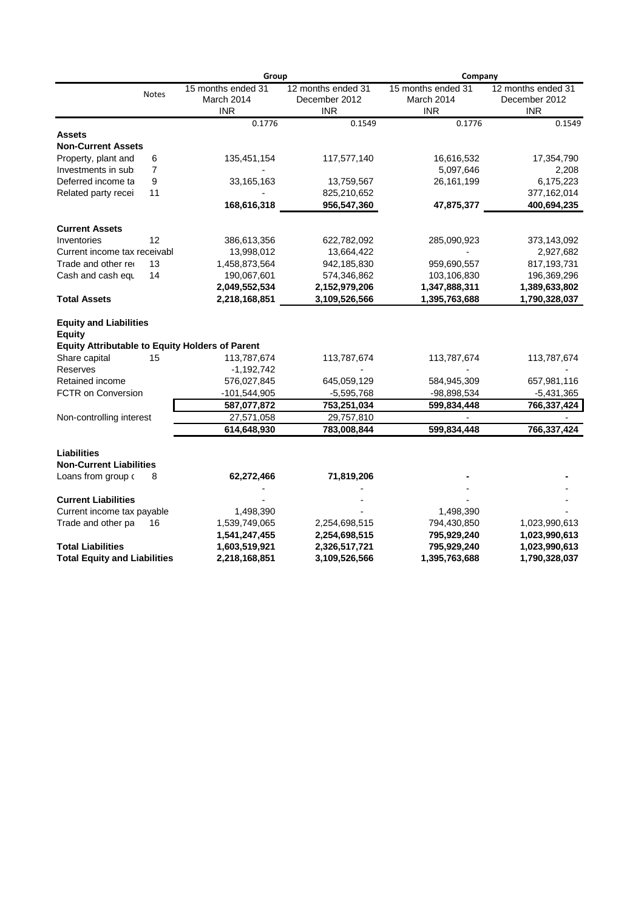|                                     |       | Group                                                  |                    | Company            |                    |  |  |
|-------------------------------------|-------|--------------------------------------------------------|--------------------|--------------------|--------------------|--|--|
|                                     | Notes | 15 months ended 31                                     | 12 months ended 31 | 15 months ended 31 | 12 months ended 31 |  |  |
|                                     |       | March 2014                                             | December 2012      | March 2014         | December 2012      |  |  |
|                                     |       | <b>INR</b>                                             | <b>INR</b>         | <b>INR</b>         | <b>INR</b>         |  |  |
|                                     |       | 0.1776                                                 | 0.1549             | 0.1776             | 0.1549             |  |  |
| <b>Assets</b>                       |       |                                                        |                    |                    |                    |  |  |
| <b>Non-Current Assets</b>           |       |                                                        |                    |                    |                    |  |  |
| Property, plant and                 | 6     | 135,451,154                                            | 117,577,140        | 16,616,532         | 17,354,790         |  |  |
| Investments in sub                  | 7     |                                                        |                    | 5,097,646          | 2,208              |  |  |
| Deferred income ta                  | 9     | 33, 165, 163                                           | 13,759,567         | 26,161,199         | 6,175,223          |  |  |
| Related party recei                 | 11    |                                                        | 825,210,652        |                    | 377,162,014        |  |  |
|                                     |       | 168,616,318                                            | 956,547,360        | 47,875,377         | 400,694,235        |  |  |
| <b>Current Assets</b>               |       |                                                        |                    |                    |                    |  |  |
| Inventories                         | 12    | 386,613,356                                            | 622,782,092        | 285,090,923        | 373,143,092        |  |  |
| Current income tax receivabl        |       | 13,998,012                                             | 13,664,422         |                    | 2,927,682          |  |  |
| Trade and other red                 | 13    | 1,458,873,564                                          | 942,185,830        | 959,690,557        | 817,193,731        |  |  |
| Cash and cash equ                   | 14    | 190,067,601                                            | 574,346,862        | 103,106,830        | 196,369,296        |  |  |
|                                     |       | 2,049,552,534                                          | 2,152,979,206      | 1,347,888,311      | 1,389,633,802      |  |  |
| <b>Total Assets</b>                 |       | 2,218,168,851                                          | 3,109,526,566      | 1,395,763,688      | 1,790,328,037      |  |  |
| <b>Equity and Liabilities</b>       |       |                                                        |                    |                    |                    |  |  |
| <b>Equity</b>                       |       |                                                        |                    |                    |                    |  |  |
|                                     |       | <b>Equity Attributable to Equity Holders of Parent</b> |                    |                    |                    |  |  |
| Share capital                       | 15    | 113,787,674                                            | 113,787,674        | 113,787,674        | 113,787,674        |  |  |
| Reserves                            |       | $-1,192,742$                                           |                    |                    |                    |  |  |
| Retained income                     |       | 576,027,845                                            | 645,059,129        | 584,945,309        | 657,981,116        |  |  |
| FCTR on Conversion                  |       | $-101,544,905$                                         | $-5,595,768$       | -98,898,534        | $-5,431,365$       |  |  |
|                                     |       | 587,077,872                                            | 753,251,034        | 599,834,448        | 766,337,424        |  |  |
| Non-controlling interest            |       | 27,571,058                                             | 29,757,810         | $\overline{a}$     |                    |  |  |
|                                     |       | 614,648,930                                            | 783,008,844        | 599,834,448        | 766,337,424        |  |  |
| <b>Liabilities</b>                  |       |                                                        |                    |                    |                    |  |  |
| <b>Non-Current Liabilities</b>      |       |                                                        |                    |                    |                    |  |  |
| Loans from group of                 | 8     | 62,272,466                                             | 71,819,206         |                    |                    |  |  |
|                                     |       |                                                        |                    |                    |                    |  |  |
| <b>Current Liabilities</b>          |       |                                                        |                    |                    |                    |  |  |
| Current income tax payable          |       | 1,498,390                                              |                    | 1,498,390          |                    |  |  |
| Trade and other pa                  | 16    | 1,539,749,065                                          | 2,254,698,515      | 794,430,850        | 1,023,990,613      |  |  |
|                                     |       | 1,541,247,455                                          | 2,254,698,515      | 795,929,240        | 1,023,990,613      |  |  |
| <b>Total Liabilities</b>            |       | 1,603,519,921                                          | 2,326,517,721      | 795,929,240        | 1,023,990,613      |  |  |
| <b>Total Equity and Liabilities</b> |       | 2,218,168,851                                          | 3,109,526,566      | 1,395,763,688      | 1,790,328,037      |  |  |
|                                     |       |                                                        |                    |                    |                    |  |  |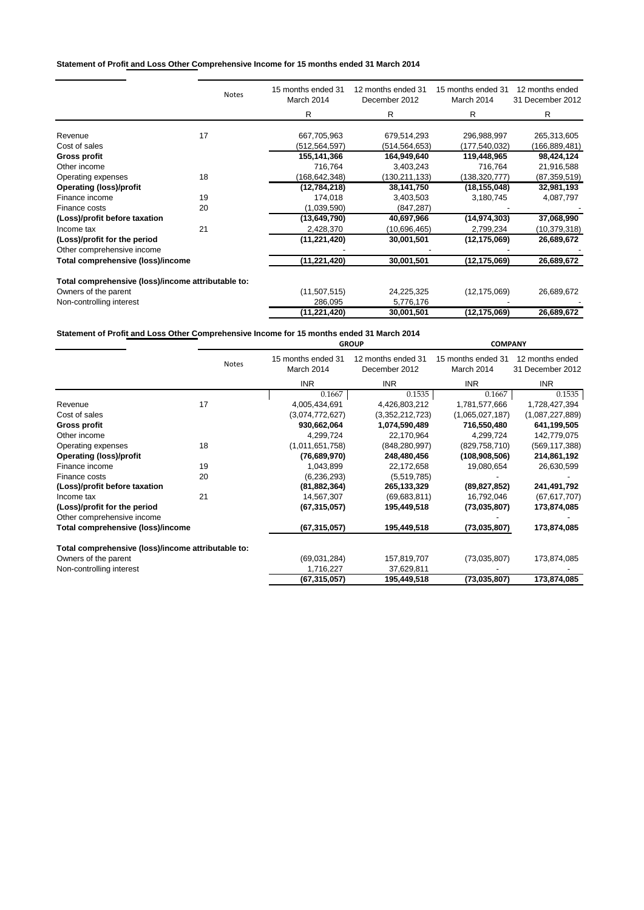# **Statement of Profit and Loss Other Comprehensive Income for 15 months ended 31 March 2014**

|                                                    | <b>Notes</b> | 15 months ended 31<br>March 2014 | 12 months ended 31<br>December 2012 | 15 months ended 31<br>March 2014 | 12 months ended<br>31 December 2012 |
|----------------------------------------------------|--------------|----------------------------------|-------------------------------------|----------------------------------|-------------------------------------|
|                                                    |              | R                                | R                                   | R                                | R                                   |
|                                                    |              |                                  |                                     |                                  |                                     |
| Revenue                                            | 17           | 667,705,963                      | 679,514,293                         | 296,988,997                      | 265,313,605                         |
| Cost of sales                                      |              | (512, 564, 597)                  | (514,564,653)                       | (177,540,032)                    | (166,889,481)                       |
| <b>Gross profit</b>                                |              | 155,141,366                      | 164,949,640                         | 119,448,965                      | 98,424,124                          |
| Other income                                       |              | 716,764                          | 3,403,243                           | 716,764                          | 21,916,588                          |
| Operating expenses                                 | 18           | (168,642,348)                    | (130,211,133)                       | (138,320,777)                    | (87,359,519)                        |
| <b>Operating (loss)/profit</b>                     |              | (12,784,218)                     | 38,141,750                          | (18, 155, 048)                   | 32,981,193                          |
| Finance income                                     | 19           | 174,018                          | 3,403,503                           | 3,180,745                        | 4,087,797                           |
| Finance costs                                      | 20           | (1,039,590)                      | (847,287)                           |                                  |                                     |
| (Loss)/profit before taxation                      |              | (13,649,790)                     | 40,697,966                          | (14, 974, 303)                   | 37,068,990                          |
| Income tax                                         | 21           | 2,428,370                        | (10,696,465)                        | 2,799,234                        | (10, 379, 318)                      |
| (Loss)/profit for the period                       |              | (11, 221, 420)                   | 30,001,501                          | (12, 175, 069)                   | 26,689,672                          |
| Other comprehensive income                         |              |                                  |                                     |                                  |                                     |
| Total comprehensive (loss)/income                  |              | (11,221,420)                     | 30,001,501                          | (12, 175, 069)                   | 26,689,672                          |
| Total comprehensive (loss)/income attributable to: |              |                                  |                                     |                                  |                                     |
| Owners of the parent                               |              | (11,507,515)                     | 24,225,325                          | (12, 175, 069)                   | 26,689,672                          |
| Non-controlling interest                           |              | 286,095                          | 5,776,176                           |                                  |                                     |
|                                                    |              | (11,221,420)                     | 30,001,501                          | (12, 175, 069)                   | 26,689,672                          |

# **Statement of Profit and Loss Other Comprehensive Income for 15 months ended 31 March 2014**

|                                                    |       |                                  | <b>GROUP</b>                        | <b>COMPANY</b>                   |                                     |  |
|----------------------------------------------------|-------|----------------------------------|-------------------------------------|----------------------------------|-------------------------------------|--|
|                                                    | Notes | 15 months ended 31<br>March 2014 | 12 months ended 31<br>December 2012 | 15 months ended 31<br>March 2014 | 12 months ended<br>31 December 2012 |  |
|                                                    |       | <b>INR</b>                       | <b>INR</b>                          | <b>INR</b>                       | <b>INR</b>                          |  |
|                                                    |       | 0.1667                           | 0.1535                              | 0.1667                           | 0.1535                              |  |
| Revenue                                            | 17    | 4,005,434,691                    | 4,426,803,212                       | 1,781,577,666                    | 1,728,427,394                       |  |
| Cost of sales                                      |       | (3.074, 772, 627)                | (3,352,212,723)                     | (1,065,027,187)                  | (1,087,227,889)                     |  |
| <b>Gross profit</b>                                |       | 930,662,064                      | 1,074,590,489                       | 716,550,480                      | 641,199,505                         |  |
| Other income                                       |       | 4,299,724                        | 22,170,964                          | 4,299,724                        | 142,779,075                         |  |
| Operating expenses                                 | 18    | (1,011,651,758)                  | (848, 280, 997)                     | (829,758,710)                    | (569,117,388)                       |  |
| <b>Operating (loss)/profit</b>                     |       | (76,689,970)                     | 248,480,456                         | (108, 908, 506)                  | 214,861,192                         |  |
| Finance income                                     | 19    | 1,043,899                        | 22,172,658                          | 19,080,654                       | 26,630,599                          |  |
| Finance costs                                      | 20    | (6,236,293)                      | (5,519,785)                         |                                  |                                     |  |
| (Loss)/profit before taxation                      |       | (81, 882, 364)                   | 265,133,329                         | (89, 827, 852)                   | 241,491,792                         |  |
| Income tax                                         | 21    | 14,567,307                       | (69,683,811)                        | 16,792,046                       | (67, 617, 707)                      |  |
| (Loss)/profit for the period                       |       | (67, 315, 057)                   | 195,449,518                         | (73,035,807)                     | 173,874,085                         |  |
| Other comprehensive income                         |       |                                  |                                     |                                  |                                     |  |
| Total comprehensive (loss)/income                  |       | (67, 315, 057)                   | 195,449,518                         | (73,035,807)                     | 173,874,085                         |  |
| Total comprehensive (loss)/income attributable to: |       |                                  |                                     |                                  |                                     |  |
| Owners of the parent                               |       | (69,031,284)                     | 157,819,707                         | (73,035,807)                     | 173,874,085                         |  |
| Non-controlling interest                           |       | 1,716,227                        | 37,629,811                          |                                  |                                     |  |
|                                                    |       | (67, 315, 057)                   | 195,449,518                         | (73,035,807)                     | 173,874,085                         |  |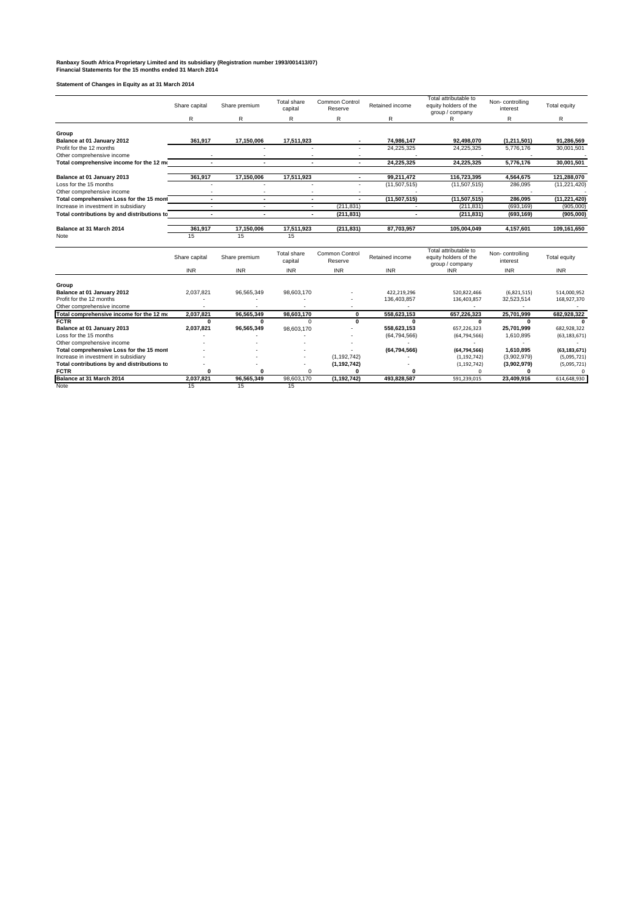# **Ranbaxy South Africa Proprietary Limited and its subsidiary (Registration number 1993/001413/07) Financial Statements for the 15 months ended 31 March 2014**

**Statement of Changes in Equity as at 31 March 2014**

|                                             | Share capital | Share premium | Total share<br>capital | <b>Common Control</b><br>Reserve | Retained income | Total attributable to<br>equity holders of the<br>group / company | Non-controlling<br>interest | Total equity   |
|---------------------------------------------|---------------|---------------|------------------------|----------------------------------|-----------------|-------------------------------------------------------------------|-----------------------------|----------------|
|                                             | R             | R             | R                      | R                                | R               | R                                                                 | R                           | R              |
| Group                                       |               |               |                        |                                  |                 |                                                                   |                             |                |
| Balance at 01 January 2012                  | 361,917       | 17,150,006    | 17,511,923             |                                  | 74,986,147      | 92,498,070                                                        | (1, 211, 501)               | 91,286,569     |
| Profit for the 12 months                    |               |               |                        |                                  | 24,225,325      | 24,225,325                                                        | 5,776,176                   | 30,001,501     |
| Other comprehensive income                  |               |               |                        |                                  |                 |                                                                   |                             |                |
| Total comprehensive income for the 12 m     |               |               |                        |                                  | 24,225,325      | 24,225,325                                                        | 5,776,176                   | 30,001,501     |
| Balance at 01 January 2013                  | 361,917       | 17,150,006    | 17,511,923             |                                  | 99,211,472      | 116,723,395                                                       | 4,564,675                   | 121,288,070    |
| Loss for the 15 months                      |               |               |                        |                                  | (11, 507, 515)  | (11, 507, 515)                                                    | 286,095                     | (11, 221, 420) |
| Other comprehensive income                  |               |               |                        |                                  |                 |                                                                   |                             |                |
| Total comprehensive Loss for the 15 mont    |               |               |                        |                                  | (11, 507, 515)  | (11, 507, 515)                                                    | 286,095                     | (11, 221, 420) |
| Increase in investment in subsidiary        |               |               |                        | (211, 831)                       |                 | (211, 831)                                                        | (693, 169)                  | (905,000)      |
| Total contributions by and distributions to |               |               |                        | (211, 831)                       |                 | (211, 831)                                                        | (693, 169)                  | (905,000)      |
| Balance at 31 March 2014                    | 361,917       | 17,150,006    | 17,511,923             | (211, 831)                       | 87,703,957      | 105,004,049                                                       | 4,157,601                   | 109,161,650    |
| Note                                        | 15            | 15            | 15                     |                                  |                 |                                                                   |                             |                |
|                                             |               |               | Total abora            | Common Control                   |                 | Total attributable to                                             | Non controlling             |                |

|                                             | Share capital | Share premium | Total share<br>capital | Common Control<br>Reserve | Retained income | equity holders of the<br>group / company | Non-controlling<br>interest | <b>Total equity</b> |
|---------------------------------------------|---------------|---------------|------------------------|---------------------------|-----------------|------------------------------------------|-----------------------------|---------------------|
|                                             | <b>INR</b>    | <b>INR</b>    | <b>INR</b>             | <b>INR</b>                | <b>INR</b>      | <b>INR</b>                               | <b>INR</b>                  | <b>INR</b>          |
| Group                                       |               |               |                        |                           |                 |                                          |                             |                     |
| Balance at 01 January 2012                  | 2,037,821     | 96,565,349    | 98,603,170             |                           | 422,219,296     | 520,822,466                              | (6,821,515)                 | 514,000,952         |
| Profit for the 12 months                    |               |               |                        |                           | 136,403,857     | 136,403,857                              | 32,523,514                  | 168,927,370         |
| Other comprehensive income                  |               |               |                        |                           |                 |                                          |                             |                     |
| Total comprehensive income for the 12 m     | 2,037,821     | 96,565,349    | 98,603,170             |                           | 558,623,153     | 657,226,323                              | 25,701,999                  | 682,928,322         |
| <b>FCTR</b>                                 |               |               |                        |                           |                 |                                          |                             |                     |
| Balance at 01 January 2013                  | 2,037,821     | 96,565,349    | 98,603,170             |                           | 558,623,153     | 657,226,323                              | 25,701,999                  | 682,928,322         |
| Loss for the 15 months                      |               |               |                        |                           | (64, 794, 566)  | (64, 794, 566)                           | 1,610,895                   | (63, 183, 671)      |
| Other comprehensive income                  |               |               |                        |                           |                 |                                          |                             |                     |
| Total comprehensive Loss for the 15 mont    |               |               |                        |                           | (64, 794, 566)  | (64, 794, 566)                           | 1,610,895                   | (63, 183, 671)      |
| Increase in investment in subsidiary        |               |               |                        | (1, 192, 742)             |                 | (1, 192, 742)                            | (3,902,979)                 | (5,095,721)         |
| Total contributions by and distributions to |               |               |                        | (1, 192, 742)             |                 | (1, 192, 742)                            | (3,902,979)                 | (5,095,721)         |
| <b>FCTR</b>                                 |               | n             |                        |                           | 0               |                                          |                             |                     |
| Balance at 31 March 2014                    | 2.037.821     | 96,565,349    | 98,603,170             | (1, 192, 742)             | 493,828,587     | 591,239,015                              | 23,409,916                  | 614,648,930         |
| Note                                        |               |               |                        |                           |                 |                                          |                             |                     |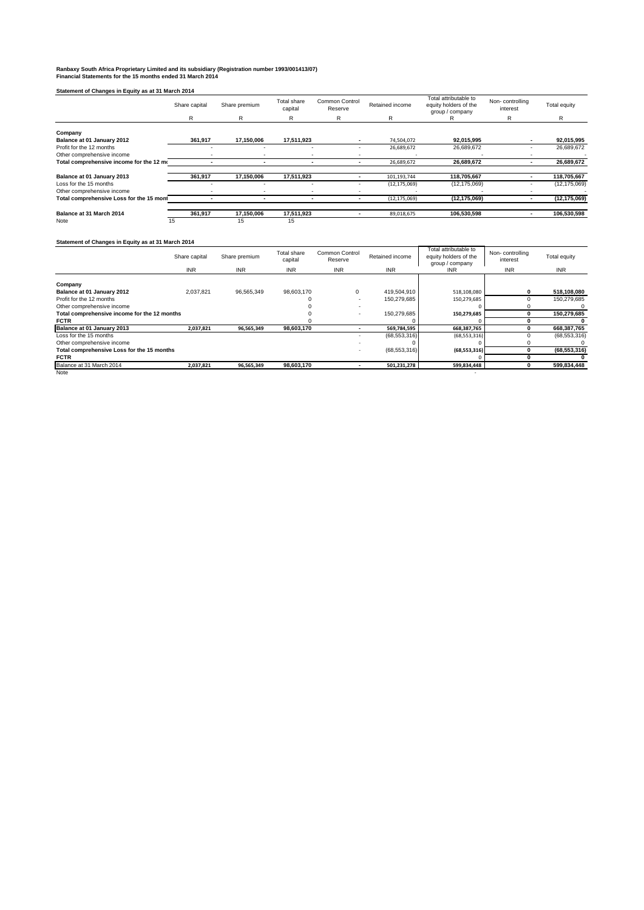# **Ranbaxy South Africa Proprietary Limited and its subsidiary (Registration number 1993/001413/07) Financial Statements for the 15 months ended 31 March 2014**

# **Statement of Changes in Equity as at 31 March 2014**

|                                          | Share capital | Share premium | Total share<br>capital | Common Control<br>Reserve | Retained income | Total attributable to<br>equity holders of the<br>group / company | Non-controlling<br>interest | Total equity   |
|------------------------------------------|---------------|---------------|------------------------|---------------------------|-----------------|-------------------------------------------------------------------|-----------------------------|----------------|
|                                          | R             | R             | R                      | R                         | R               | R                                                                 | R                           | R              |
| Company                                  |               |               |                        |                           |                 |                                                                   |                             |                |
| Balance at 01 January 2012               | 361,917       | 17,150,006    | 17,511,923             |                           | 74,504,072      | 92,015,995                                                        |                             | 92,015,995     |
| Profit for the 12 months                 |               |               |                        |                           | 26,689,672      | 26,689,672                                                        |                             | 26,689,672     |
| Other comprehensive income               |               |               |                        |                           |                 |                                                                   |                             |                |
| Total comprehensive income for the 12 m  |               |               |                        |                           | 26,689,672      | 26,689,672                                                        |                             | 26,689,672     |
| Balance at 01 January 2013               | 361,917       | 17,150,006    | 17,511,923             |                           | 101,193,744     | 118,705,667                                                       |                             | 118,705,667    |
| Loss for the 15 months                   |               |               |                        |                           | (12, 175, 069)  | (12, 175, 069)                                                    |                             | (12, 175, 069) |
| Other comprehensive income               |               |               |                        |                           |                 |                                                                   |                             |                |
| Total comprehensive Loss for the 15 mont |               |               |                        |                           | (12, 175, 069)  | (12, 175, 069)                                                    |                             | (12, 175, 069) |
| Balance at 31 March 2014                 | 361,917       | 17,150,006    | 17,511,923             |                           | 89,018,675      | 106,530,598                                                       |                             | 106,530,598    |
| Note                                     | 15            | 15            | 15                     |                           |                 |                                                                   |                             |                |

# **Statement of Changes in Equity as at 31 March 2014**

|                                              | Share capital | Share premium | Total share<br>capital | <b>Common Control</b><br>Reserve | Retained income | Total attributable to<br>equity holders of the<br>group / company | Non-controlling<br>interest | Total equity   |
|----------------------------------------------|---------------|---------------|------------------------|----------------------------------|-----------------|-------------------------------------------------------------------|-----------------------------|----------------|
|                                              | <b>INR</b>    | <b>INR</b>    | <b>INR</b>             | <b>INR</b>                       | <b>INR</b>      | <b>INR</b>                                                        | <b>INR</b>                  | <b>INR</b>     |
| Company                                      |               |               |                        |                                  |                 |                                                                   |                             |                |
| Balance at 01 January 2012                   | 2.037.821     | 96,565,349    | 98.603.170             | 0                                | 419.504.910     | 518,108,080                                                       | 0                           | 518,108,080    |
| Profit for the 12 months                     |               |               |                        |                                  | 150.279.685     | 150,279,685                                                       | $\Omega$                    | 150.279.685    |
| Other comprehensive income                   |               |               |                        |                                  |                 |                                                                   |                             |                |
| Total comprehensive income for the 12 months |               |               |                        |                                  | 150.279.685     | 150,279,685                                                       | 0                           | 150.279.685    |
| <b>FCTR</b>                                  |               |               |                        |                                  |                 |                                                                   |                             |                |
| Balance at 01 January 2013                   | 2,037,821     | 96,565,349    | 98,603,170             |                                  | 569,784,595     | 668,387,765                                                       | ŋ                           | 668,387,765    |
| Loss for the 15 months                       |               |               |                        |                                  | (68, 553, 316)  | (68, 553, 316)                                                    |                             | (68, 553, 316) |
| Other comprehensive income                   |               |               |                        |                                  |                 |                                                                   |                             |                |
| Total comprehensive Loss for the 15 months   |               |               |                        |                                  | (68, 553, 316)  | (68, 553, 316)                                                    |                             | (68, 553, 316) |
| <b>FCTR</b>                                  |               |               |                        |                                  |                 |                                                                   | n                           |                |
| Balance at 31 March 2014                     | 2,037,821     | 96,565,349    | 98,603,170             |                                  | 501,231,278     | 599,834,448                                                       | 0                           | 599,834,448    |
| Note                                         |               |               |                        |                                  |                 |                                                                   |                             |                |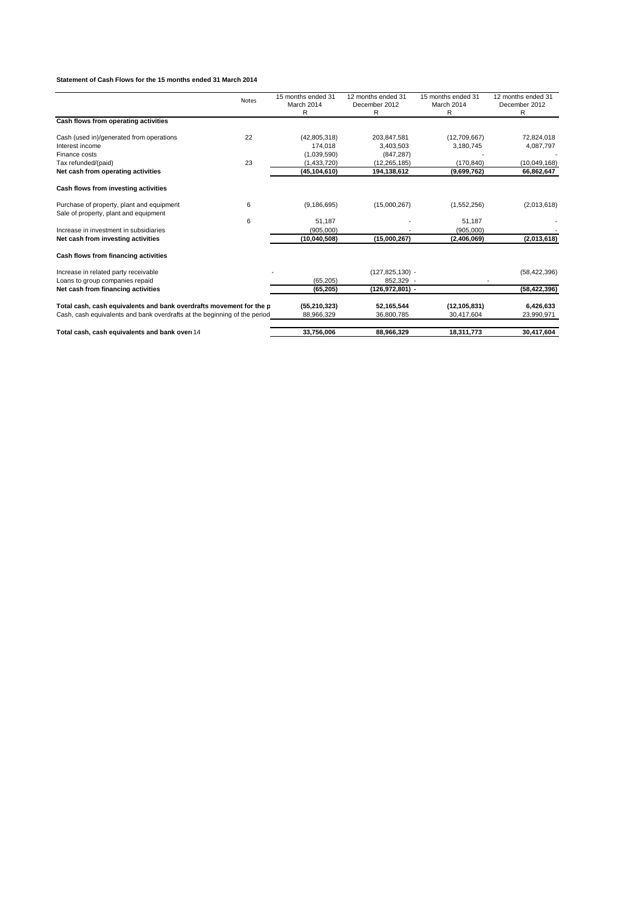# **Statement of Cash Flows for the 15 months ended 31 March 2014**

| <b>Notes</b>                                                              | 15 months ended 31<br>March 2014<br>R | 12 months ended 31<br>December 2012<br>R | 15 months ended 31<br>March 2014<br>R | 12 months ended 31<br>December 2012<br>R                                                     |
|---------------------------------------------------------------------------|---------------------------------------|------------------------------------------|---------------------------------------|----------------------------------------------------------------------------------------------|
|                                                                           |                                       |                                          |                                       |                                                                                              |
| 22                                                                        | (42,805,318)                          | 203,847,581                              | (12,709,667)                          | 72,824,018                                                                                   |
|                                                                           | 174.018                               | 3.403.503                                | 3,180,745                             | 4,087,797                                                                                    |
|                                                                           | (1,039,590)                           | (847, 287)                               |                                       |                                                                                              |
| 23                                                                        | (1,433,720)                           | (12, 265, 185)                           | (170.840)                             | (10,049,168)                                                                                 |
|                                                                           | (45, 104, 610)                        | 194,138,612                              | (9,699,762)                           | 66,862,647                                                                                   |
|                                                                           |                                       |                                          |                                       |                                                                                              |
| 6                                                                         | (9, 186, 695)                         | (15,000,267)                             | (1,552,256)                           | (2,013,618)                                                                                  |
|                                                                           |                                       |                                          |                                       |                                                                                              |
|                                                                           |                                       |                                          |                                       |                                                                                              |
|                                                                           | (10.040.508)                          | (15.000.267)                             | (2,406,069)                           | (2,013,618)                                                                                  |
|                                                                           |                                       |                                          |                                       |                                                                                              |
|                                                                           |                                       |                                          |                                       | (58, 422, 396)                                                                               |
|                                                                           | (65, 205)                             |                                          |                                       |                                                                                              |
|                                                                           | (65, 205)                             |                                          |                                       | (58, 422, 396)                                                                               |
| Total cash, cash equivalents and bank overdrafts movement for the p       | (55, 210, 323)                        | 52,165,544                               | (12, 105, 831)                        | 6,426,633                                                                                    |
| Cash, cash equivalents and bank overdrafts at the beginning of the period | 88,966,329                            | 36,800,785                               | 30,417,604                            | 23,990,971                                                                                   |
|                                                                           |                                       |                                          |                                       | 30,417,604                                                                                   |
|                                                                           | 6                                     | 51,187<br>(905,000)<br>33,756,006        | 88,966,329                            | 51,187<br>(905,000)<br>$(127, 825, 130) -$<br>852.329 -<br>$(126, 972, 801) -$<br>18,311,773 |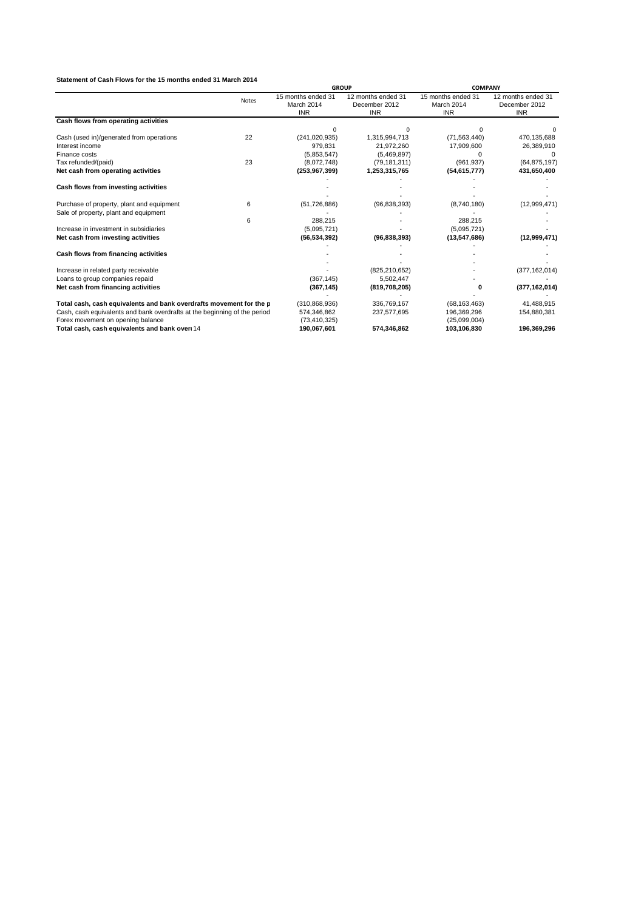**Statement of Cash Flows for the 15 months ended 31 March 2014**

|                                                                           |       |                                  | <b>GROUP</b>                        | <b>COMPANY</b>                   |                                     |  |
|---------------------------------------------------------------------------|-------|----------------------------------|-------------------------------------|----------------------------------|-------------------------------------|--|
|                                                                           | Notes | 15 months ended 31<br>March 2014 | 12 months ended 31<br>December 2012 | 15 months ended 31<br>March 2014 | 12 months ended 31<br>December 2012 |  |
|                                                                           |       | <b>INR</b>                       | <b>INR</b>                          | <b>INR</b>                       | <b>INR</b>                          |  |
| Cash flows from operating activities                                      |       |                                  |                                     |                                  |                                     |  |
|                                                                           |       |                                  |                                     |                                  |                                     |  |
| Cash (used in)/generated from operations                                  | 22    | (241, 020, 935)                  | 1,315,994,713                       | (71, 563, 440)                   | 470,135,688                         |  |
| Interest income                                                           |       | 979,831                          | 21,972,260                          | 17,909,600                       | 26,389,910                          |  |
| Finance costs                                                             |       | (5,853,547)                      | (5,469,897)                         | O                                | $\Omega$                            |  |
| Tax refunded/(paid)                                                       | 23    | (8,072,748)                      | (79, 181, 311)                      | (961, 937)                       | (64, 875, 197)                      |  |
| Net cash from operating activities                                        |       | (253, 967, 399)                  | 1,253,315,765                       | (54, 615, 777)                   | 431,650,400                         |  |
|                                                                           |       |                                  |                                     |                                  |                                     |  |
| Cash flows from investing activities                                      |       |                                  |                                     |                                  |                                     |  |
|                                                                           |       |                                  |                                     |                                  |                                     |  |
| Purchase of property, plant and equipment                                 | 6     | (51, 726, 886)                   | (96, 838, 393)                      | (8,740,180)                      | (12,999,471)                        |  |
| Sale of property, plant and equipment                                     |       |                                  |                                     |                                  |                                     |  |
|                                                                           | 6     | 288.215                          |                                     | 288.215                          |                                     |  |
| Increase in investment in subsidiaries                                    |       | (5,095,721)                      |                                     | (5,095,721)                      |                                     |  |
| Net cash from investing activities                                        |       | (56, 534, 392)                   | (96, 838, 393)                      | (13, 547, 686)                   | (12,999,471)                        |  |
|                                                                           |       |                                  |                                     |                                  |                                     |  |
| Cash flows from financing activities                                      |       |                                  |                                     |                                  |                                     |  |
|                                                                           |       |                                  |                                     |                                  |                                     |  |
| Increase in related party receivable                                      |       |                                  | (825, 210, 652)                     |                                  | (377, 162, 014)                     |  |
| Loans to group companies repaid                                           |       | (367, 145)                       | 5,502,447                           |                                  |                                     |  |
| Net cash from financing activities                                        |       | (367, 145)                       | (819,708,205)                       |                                  | (377, 162, 014)                     |  |
| Total cash, cash equivalents and bank overdrafts movement for the p       |       | (310, 868, 936)                  | 336,769,167                         | (68, 163, 463)                   | 41,488,915                          |  |
| Cash, cash equivalents and bank overdrafts at the beginning of the period |       | 574,346,862                      | 237,577,695                         | 196,369,296                      | 154,880,381                         |  |
| Forex movement on opening balance                                         |       | (73, 410, 325)                   |                                     | (25,099,004)                     |                                     |  |
| Total cash, cash equivalents and bank over 14                             |       | 190.067.601                      | 574.346.862                         | 103.106.830                      | 196.369.296                         |  |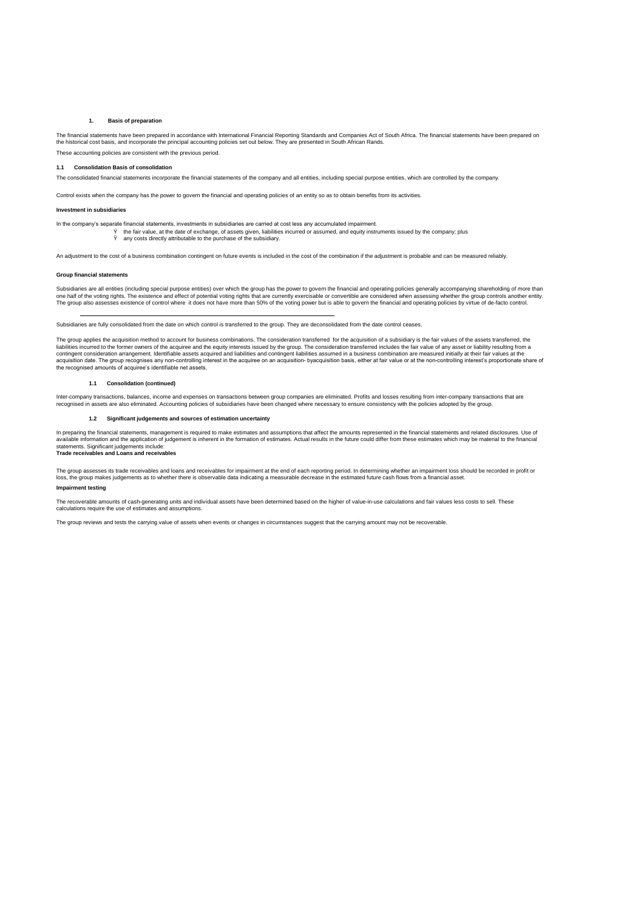#### **1. Basis of preparation**

The financial statements have been prepared in accordance with International Financial Reporting Standards and Companies Act of South Africa. The financial statements have been prepared on the historical cost basis, and incorporate the principal accounting policies set out below. They are presented in South African Rands.

These accounting policies are consistent with the previous period.

#### **1.1 Consolidation Basis of consolidation**

The consolidated financial statements incorporate the financial statements of the company and all entities, including special purpose entities, which are controlled by the company.

Control exists when the company has the power to govern the financial and operating policies of an entity so as to obtain benefits from its activities.

#### **Investment in subsidiaries**

- 
- In the company's separate financial statements, investments in subsidiaries are carried at cost less any accumulated impairment.<br>Y the fair value, at the date of exchange, of assets given, liabilities incurred or assumed, Ÿ any costs directly attributable to the purchase of the subsidiary.

An adjustment to the cost of a business combination contingent on future events is included in the cost of the combination if the adjustment is probable and can be measured reliably.

#### **Group financial statements**

Subsidiaries are all entities (including special purpose entities) over which the group has the power to govern the financial and operating policies generally accompanying shareholding of more than one half of the voting rights. The existence and effect of potential voting ights that are currently exercisable or convertible are considered when assessing whether the group controls another entity.<br>The group also assess

Subsidiaries are fully consolidated from the date on which control is transferred to the group. They are deconsolidated from the date control ceases.

The group applies the acquisition method to account for business combinations. The consideration transferred for the acquisition of a subsidiary is the fair values of the assets transferred, the liabilities incurred to the former owners of the acquiree and the equity interests issued by the group. The consideration transferred includes the fair value of any asset or liability resulting from a<br>contingent considerat

#### **1.1 Consolidation (continued)**

Inter-company transactions, balances, income and expenses on transactions between group companies are eliminated. Profits and losses resulting from inter-company transactions that are<br>recognised in assets are also eliminat

### **1.2 Significant judgements and sources of estimation uncertainty**

In preparing the financial statements, management is required to make estimates and assumptions that affect the amounts represented in the financial statements and related disclosures. Use of available information and the application of judgement is inherent in the formation of estimates. Actual results in the future could differ from these estimates which may be material to the financial<br>statements. Significan

**Trade receivables and Loans and receivables**

The group assesses its trade receivables and loans and receivables for impairment at the end of each reporting period. In determining whether an impairment loss should be recorded in profit or loss, the group makes judgements as to whether there is observable data indicating a measurable decrease in the estimated future cash flows from a financial asset.

# **Impairment testing**

The recoverable amounts of cash-generating units and individual assets have been determined based on the higher of value-in-use calculations and fair values less costs to sell. These<br>calculations require the use of estimat

The group reviews and tests the carrying value of assets when events or changes in circumstances suggest that the carrying amount may not be recoverable.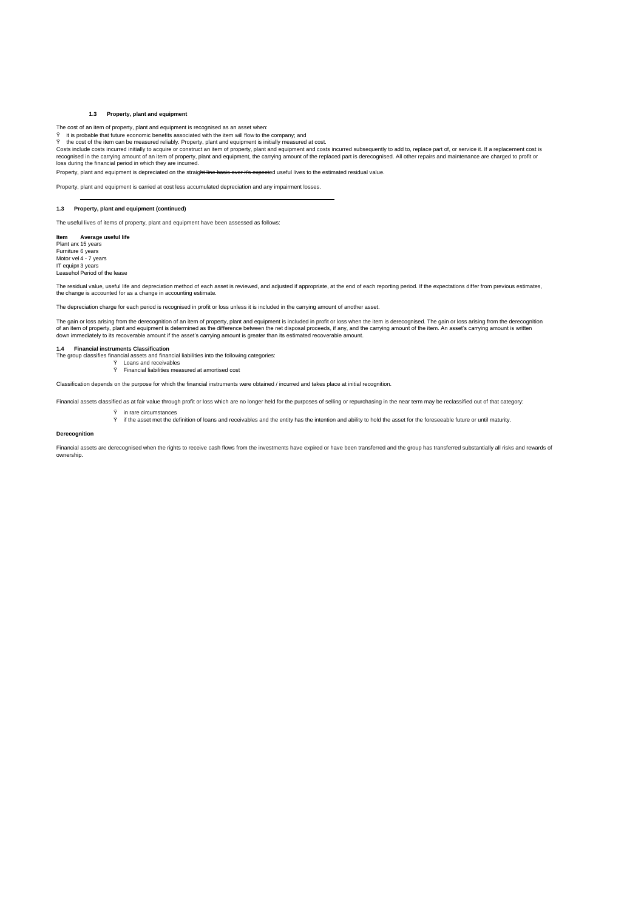#### **1.3 Property, plant and equipment**

The cost of an item of property, plant and equipment is recognised as an asset when:<br>Y it is probable that future economic benefits associated with the item will flow to the company: and

Y it is probable that future economic benefits associated with the item will flow to the company; and<br>Y the cost of the item can be measured reliably. Property, plant and equipment is initially measured at cost.<br>Costs incl recognised in the carrying amount of an item of property, plant and equipment, the carrying amount of the replaced part is derecognised. All other repairs and maintenance are charged to profit or<br>loss during the financial

Property, plant and equipment is depreciated on the straight line basis over it's expected useful lives to the estimated residual value.

Property, plant and equipment is carried at cost less accumulated depreciation and any impairment losses.

#### **1.3 Property, plant and equipment (continued)**

The useful lives of items of property, plant and equipment have been assessed as follows:

**Item Average useful life** Plant and 15 years Furniture 6 years<br>Motor vel 4 - 7 years IT equipm 3 years Leasehol Period of the lease

The residual value, useful life and depreciation method of each asset is reviewed, and adjusted if appropriate, at the end of each reporting period. If the expectations differ from previous estimates,<br>the change is account

The depreciation charge for each period is recognised in profit or loss unless it is included in the carrying amount of another asset.

The gain or loss arising from the derecognition of an item of property, plant and equipment is included in profit or loss when the item is derecognised. The gain or loss arising from the derecognition<br>of an item of propert

- **1.4 Financial instruments Classification** The group classifies financial assets and financial liabilities into the following categories:
	- Ÿ Loans and receivables
	- Ÿ Financial liabilities measured at amortised cost

Classification depends on the purpose for which the financial instruments were obtained / incurred and takes place at initial recognition.

Financial assets classified as at fair value through profit or loss which are no longer held for the purposes of selling or repurchasing in the near term may be reclassified out of that category:

Ÿ in rare circumstances Ÿ if the asset met the definition of loans and receivables and the entity has the intention and ability to hold the asset for the foreseeable future or until maturity.

### **Derecognition**

Financial assets are derecognised when the rights to receive cash flows from the investments have expired or have been transferred and the group has transferred substantially all risks and rewards of ownership.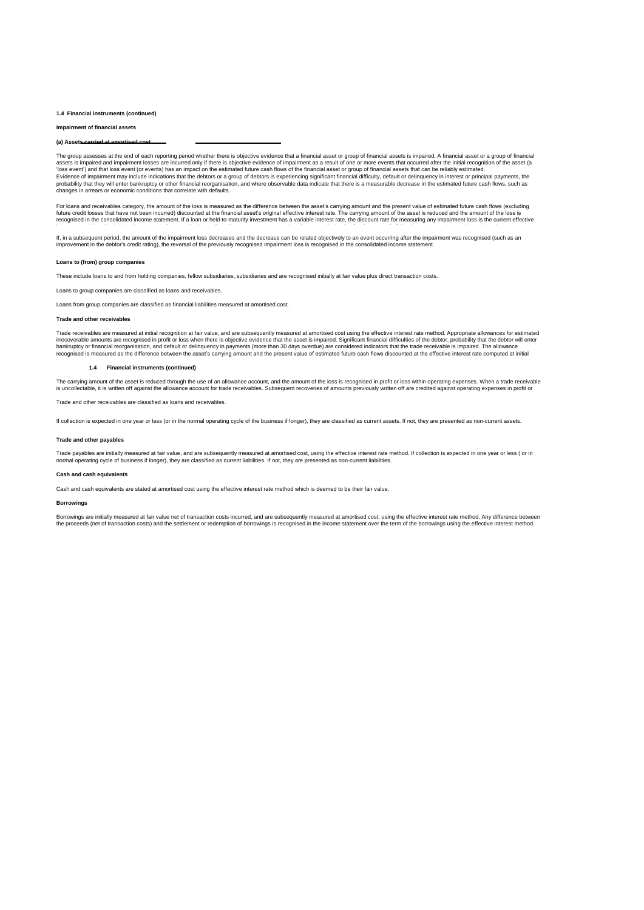#### **1.4 Financial instruments (continued)**

**Impairment of financial as** 

#### (a) Assets carried at

Evidence of impairment may include indications that the debtors or a group of debtors is experiencing significant financial difficulty, default or delinquency in interest or principal payments, the<br>probability that they wi changes in arrears or economic conditions that correlate with defaults. The group assesses at the end of each reporting period whether there is objective evidence that a financial asset or group of financial assets is impaired. A financial asset or a group of financial assets is impaired and impairment losses are incurred only if there is objective evidence of impairment as a result of one or more events that occurred after the initial recognition of the asset (a<br>'loss event') and that l

For loans and receivables category, the amount of the loss is measured as the difference between the asset's carrying amount and the present value of estimated future cash flows (excluding<br>future credit losses that have no recognised in the consolidated income statement. If a loan or held-to-maturity investment has a variable interest rate, the discount rate for measuring any impairment loss is the current effective

If, in a subsequent period, the amount of the impairment loss decreases and the decrease can be related objectively to an event occurring after the impairment was recognised (such as an improvement in the debtor's credit rating), the reversal of the previously recognised impairment loss is recognised in the consolidated income statement.

interest rate determined under the contract. As a practical expedient, the group may measure impairment on the basis of an instrument's fair value using an observable market price.

#### **Loans to (from) group companies**

These include loans to and from holding companies, fellow subsidiaries, subsidiaries and are recognised initially at fair value plus direct transaction costs.

Loans to group companies are classified as loans and receivables.

Loans from group companies are classified as financial liabilities measured at amortised cost.

#### **Trade and other receivables**

Trade receivables are measured at initial recognition at fair value, and are subsequently measured at amortised cost using the effective interest rate method. Appropriate allowances for estimated<br>irrecoverable amounts are recognised is measured as the difference between the asset's carrying amount and the present value of estimated future cash flows discounted at the effective interest rate computed at initial

#### **1.4 Financial instruments (continued)**

The carrying amount of the asset is reduced through the use of an allowance account, and the amount of the loss is recognised in profit or loss within operating expenses. When a trade receivable<br>is uncollectable, it is wri

Trade and other receivables are classified as loans and receivables.

If collection is expected in one year or less (or in the normal operating cycle of the business if longer), they are classified as current assets. If not, they are presented as non-current assets.

#### **Trade and other payables**

Trade payables are initially measured at fair value, and are subsequently measured at amortised cost, using the effective interest rate method. If collection is expected in one year or less ( or in normal operating cycle of business if longer), they are classified as current liabilities. If not, they are presented as non-current liabilities.

#### **Cash and cash equivalents**

Cash and cash equivalents are stated at amortised cost using the effective interest rate method which is deemed to be their fair value.

#### **Borrowings**

Borrowings are initially measured at fair value net of transaction costs incurred, and are subsequently measured at amortised cost, using the effective interest rate method. Any difference between<br>the proceeds (net of tran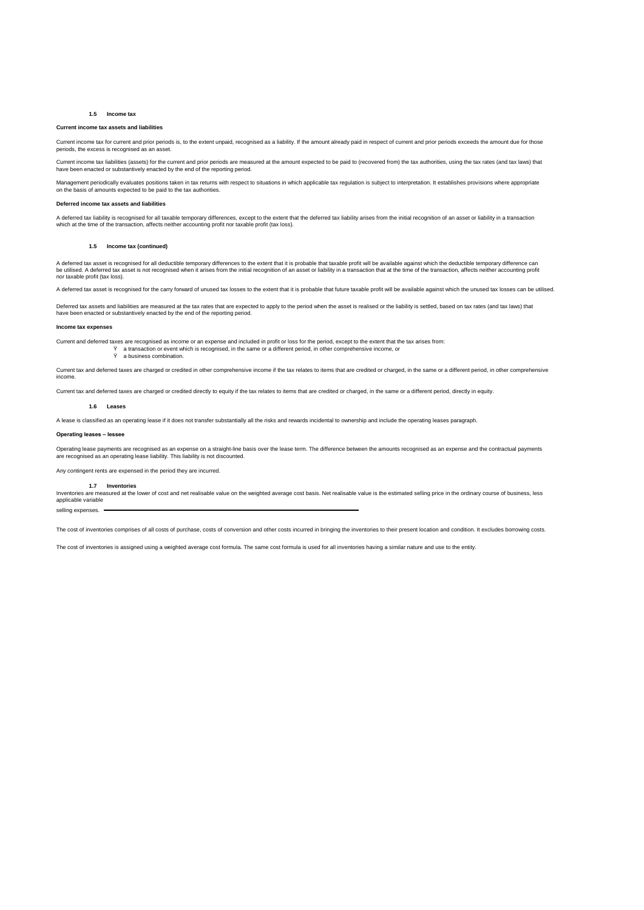### **1.5 Income tax**

#### **Current income tax assets a**

Current income tax for current and prior periods is, to the extent unpaid, recognised as a liability. If the amount already paid in respect of current and prior periods exceeds the amount due for those periods, the excess is recognised as an asset.

Current income tax liabilities (assets) for the current and prior periods are measured at the amount expected to be paid to (recovered from) the tax authorities, using the tax rates (and tax laws) that have been enacted or substantively enacted by the end of the reporting period.

Management periodically evaluates positions taken in tax returns with respect to situations in which applicable tax regulation is subject to interpretation. It establishes provisions where appropriate on the basis of amounts expected to be paid to the tax authorities.

#### **Deferred income tax assets and liabilities**

A deferred tax liability is recognised for all taxable temporary differences, except to the extent that the deferred tax liability arises from the initial recognition of an asset or liability in a transaction<br>which at the

#### **1.5 Income tax (continued)**

A deferred tax asset is recognised for all deductible temporary differences to the extent that it is probable that taxable profit will be available against which the deductible temporary difference can<br>be utilised. A defer nor taxable profit (tax loss).

A deferred tax asset is recognised for the carry forward of unused tax losses to the extent that it is probable that future taxable profit will be available against which the unused tax losses can be utilised.

Deferred tax assets and liabilities are measured at the tax rates that are expected to apply to the period when the asset is realised or the liability is settled, based on tax rates (and tax laws) that have been enacted or substantively enacted by the end of the reporting period.

### **Income tax expenses**

Current and deferred taxes are recognised as income or an expense and included in profit or loss for the period, except to the extent that the tax arises from: Ÿ a transaction or event which is recognised, in the same or a different period, in other comprehensive income, or Ÿ a business combination.

Current tax and deferred taxes are charged or credited in other comprehensive income if the tax relates to items that are credited or charged, in the same or a different period, in other comprehensive income.

Current tax and deferred taxes are charged or credited directly to equity if the tax relates to items that are credited or charged, in the same or a different period, directly in equity.

### **1.6 Leases**

A lease is classified as an operating lease if it does not transfer substantially all the risks and rewards incidental to ownership and include the operating leases paragraph.

### **Operating leases – lessee**

Operating lease payments are recognised as an expense on a straight-line basis over the lease term. The difference between the amounts recognised as an expense and the contractual payments<br>are recognised as an operating le

Any contingent rents are expensed in the period they are incurred.

#### **1.7 Inventories**

selling expenses. Inventories are measured at the lower of cost and net realisable value on the weighted average cost basis. Net realisable value is the estimated selling price in the ordinary course of business, less applicable variable

The cost of inventories comprises of all costs of purchase, costs of conversion and other costs incurred in bringing the inventories to their present location and condition. It excludes borrowing costs.

The cost of inventories is assigned using a weighted average cost formula. The same cost formula is used for all inventories having a similar nature and use to the entity.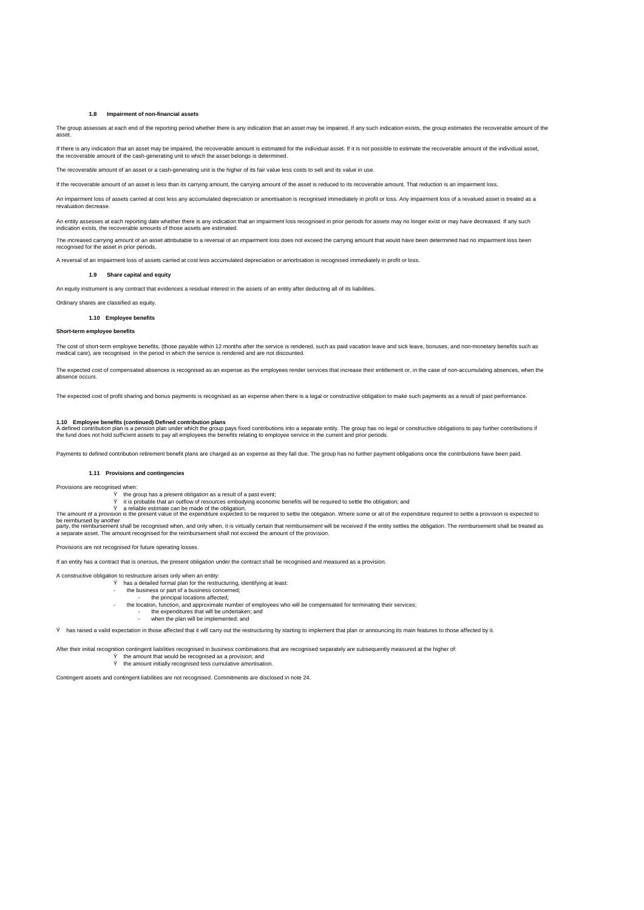#### **1.8 Impairment of non-financial assets**

The group assesses at each end of the reporting period whether there is any indication that an asset may be impaired. If any such indication exists, the group estimates the recoverable amount of the asset.

If there is any indication that an asset may be impaired, the recoverable amount is estimated for the individual asset. If it is not possible to estimate the recoverable amount of the individual asset, the recoverable amount of the cash-generating unit to which the asset belongs is determined.

The recoverable amount of an asset or a cash-generating unit is the higher of its fair value less costs to sell and its value in use.

If the recoverable amount of an asset is less than its carrying amount, the carrying amount of the asset is reduced to its recoverable amount. That reduction is an impairment loss.

An impairment loss of assets carried at cost less any accumulated depreciation or amortisation is recognised immediately in profit or loss. Any impairment loss of a revalued asset is treated as a revaluation decrease.

An entity assesses at each reporting date whether there is any indication that an impairment loss recognised in prior periods for assets may no longer exist or may have decreased. If any such<br>indication exists, the recover

The increased carrying amount of an asset attributable to a reversal of an impairment loss does not exceed the carrying amount that would have been determined had no impairment loss been recognised for the asset in prior periods.

A reversal of an impairment loss of assets carried at cost less accumulated depreciation or amortisation is recognised immediately in profit or loss.

#### **1.9 Share capital and equity**

An equity instrument is any contract that evidences a residual interest in the assets of an entity after deducting all of its liabilities.

Ordinary shares are classified as equity.

#### **1.10 Employee benefits**

#### **Short-term employee benefits**

The cost of short-term employee benefits, (those payable within 12 months after the service is rendered, such as paid vacation leave and sick leave, bonuses, and non-monetary benefits such as medical care), are recognised in the period in which the service is rendered and are not discounted.

The expected cost of compensated absences is recognised as an expense as the employees render services that increase their entitlement or, in the case of non-accumulating absences, when the absence occurs.

The expected cost of profit sharing and bonus payments is recognised as an expense when there is a legal or constructive obligation to make such payments as a result of past performance.

**1.10 Employee benefits (continued) Defined contribution plans**<br>A defined contribution plan is a pension plan under which the group pays fixed contributions into a separate entity. The group has no legal or constructive ob the fund does not hold sufficient assets to pay all employees the benefits relating to employee service in the current and prior periods.

Payments to defined contribution retirement benefit plans are charged as an expense as they fall due. The group has no further payment obligations once the contributions have been paid.

#### **1.11 Provisions and contingencies**

Provisions are recognised when:

- 
- Y the group has a present obligation as a result of a past event;<br>Ÿ it is probable that an outflow of resources embodying economic benefits will be required to settle the obligation; and

Y a reliable estimate can be made of the obligation.<br>The amount of a provision is the present value of the expenditure expected to be required to settle the obligation. Where some or all of the expenditure required to sett

be reimbursed by another<br>party, the reimbursement shall be recognised when, and only when, it is virtually certain that reimbursement will be received if the entity settles the obligation. The reimbursement shall be treate a separate asset. The amount recognised for the reimbursement shall not exceed the amount of the provision.

Provisions are not recognised for future operating losses.

If an entity has a contract that is onerous, the present obligation under the contract shall be recognised and measured as a provision.

A constructive obligation to restructure arises only when an entity:

- Ÿ has a detailed formal plan for the restructuring, identifying at least:
	- the business or part of a business concerned;
	- the principal locations affected;
	- the location, function, and approximate number of employees who will be compensated for terminating their services;
		- the expenditures that will be undertaken; and when the plan will be implemented; and

Ÿ has raised a valid expectation in those affected that it will carry out the restructuring by starting to implement that plan or announcing its main features to those affected by it.

After their initial recognition contingent liabilities recognised in business combinations that are recognised separately are subsequently measured at the higher of: the amount that would be recognised as a provision; and Ÿ the amount initially recognised less cumulative amortisation.

Contingent assets and contingent liabilities are not recognised. Commitments are disclosed in note 24.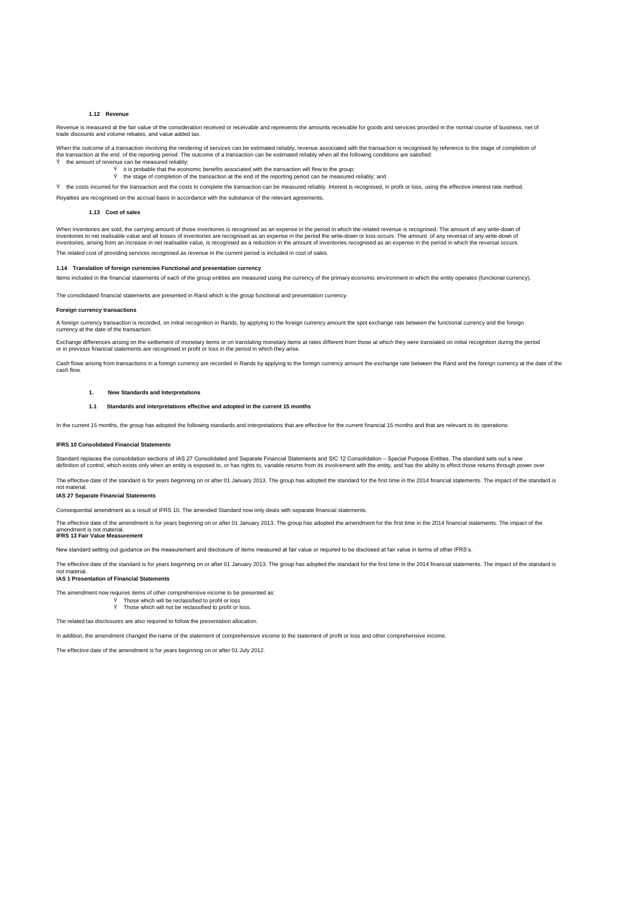#### **1.12 Revenue**

Revenue is measured at the fair value of the consideration received or receivable and represents the amounts receivable for goods and services provided in the normal course of business, net of<br>trade discounts and volume re

Ÿ the amount of revenue can be measured reliably; When the outcome of a transaction involving the rendering of services can be estimated reliably, revenue associated with the transaction is recognised by reference to the stage of completion of<br>the transaction at the end o

- 
- Y it is probable that the economic benefits associated with the transaction will flow to the group;<br>Ÿ the stage of completion of the transaction at the end of the reporting period can be measured reliably; and

Royalties are recognised on the accrual basis in accordance with the substance of the relevant agreements.  $\ddot{Y}$  the costs incurred for the transaction and the costs to complete the transaction can be measured reliably. Interest is recognised, in profit or loss, using the effective interest rate method.

#### **1.13 Cost of sales**

The related cost of providing services recognised as revenue in the current period is included in cost of sales. When inventories are sold, the carrying amount of those inventories is recognised as an expense in the period in which the related revenue is recognised. The amount of any write-down of inventories to net realisable value and all losses of inventories are recognised as an expense in the period the write-down or loss occurs. The amount of any reversal of any write-down of<br>inventories, arising from an incr

#### **1.14 Translation of foreign currencies Functional and presentation currency**

Items included in the financial statements of each of the group entities are measured using the currency of the primary economic environment in which the entity operates (functional currency).

The consolidated financial statements are presented in Rand which is the group functional and presentation currency.

#### **Foreign currency transactions**

A foreign currency transaction is recorded, on initial recognition in Rands, by applying to the foreign currency amount the spot exchange rate between the functional currency and the foreign<br>currency at the date of the tra

Exchange differences arising on the settlement of monetary items or on translating monetary items at rates different from those at which they were translated on initial recognition during the period<br>or in previous financia

Cash flows arising from transactions in a foreign currency are recorded in Rands by applying to the foreign currency amount the exchange rate between the Rand and the foreign currency at the date of the cash flow.

#### **1. New Standards and Interpretations**

#### **1.1 Standards and interpretations effective and adopted in the current 15 months**

In the current 15 months, the group has adopted the following standards and interpretations that are effective for the current financial 15 months and that are relevant to its operations

#### **IFRS 10 Consolidated Financial Statements**

Standard replaces the consolidation sections of IAS 27 Consolidated and Separate Financial Statements and SIC 12 Consolidation – Special Purpose Entities. The standard sets out a new definition of control, which exists only when an entity is exposed to, or has rights to, variable returns from its involvement with the entity, and has the ability to effect those returns through power over

The effective date of the standard is for years beginning on or after 01 January 2013. The group has adopted the standard for the first time in the 2014 financial statements. The impact of the standard is not material.

#### **IAS 27 Separate Financial Statements**

Consequential amendment as a result of IFRS 10. The amended Standard now only deals with separate financial statements.

amendment is not material.<br>**IFRS 13 Fair Value Measurement** The effective date of the amendment is for years beginning on or after 01 January 2013. The group has adopted the amendment for the first time in the 2014 financial statements. The impact of the amendment is not material.

New standard setting out guidance on the measurement and disclosure of items measured at fair value or required to be disclosed at fair value in terms of other IFRS's.

not material.<br>IAS 1 Presentation of Financial Statements The effective date of the standard is for years beginning on or after 01 January 2013. The group has adopted the standard for the first time in the 2014 financial statements. The impact of the standard is

The amendment now requires items of other comprehensive income to be presented as:

Ÿ Those which will be reclassified to profit or loss Ÿ Those which will not be reclassified to profit or loss.

The related tax disclosures are also required to follow the presentation allocation.

In addition, the amendment changed the name of the statement of comprehensive income to the statement of profit or loss and other comprehensive income.

The effective date of the amendment is for years beginning on or after 01 July 2012.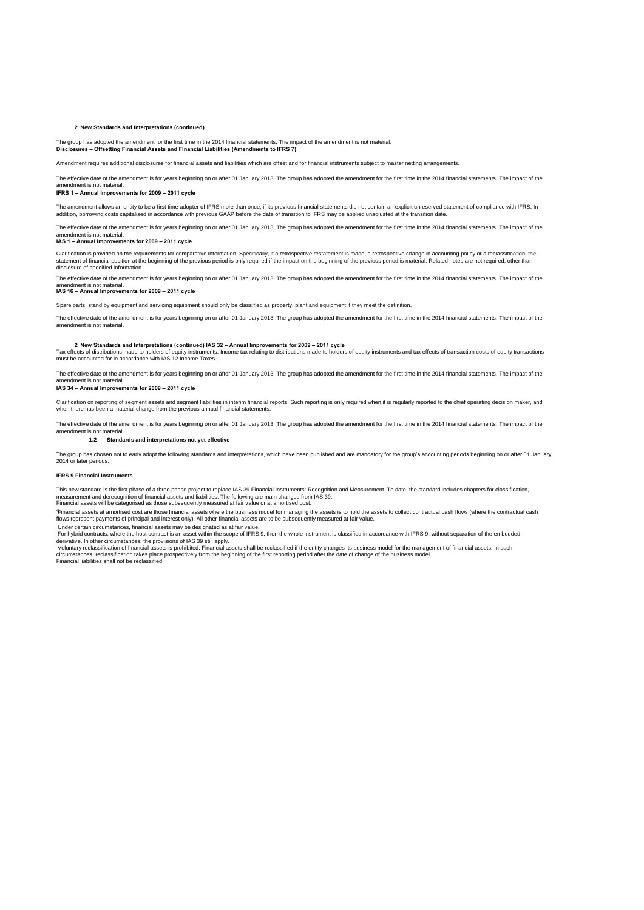#### **2 New Standards and Interpretations (continued)**

The group has adopted the amendment for the first time in the 2014 financial statements. The impact of the amendment is not material.<br>**Disclosures – Offsetting Financial Assets and Financial Liabilities (Amendments to IFRS** 

Amendment requires additional disclosures for financial assets and liabilities which are offset and for financial instruments subject to master netting arrangements.

The effective date of the amendment is for years beginning on or after 01 January 2013. The group has adopted the amendment for the first time in the 2014 financial statements. The impact of the amendment is not material.

#### **IFRS 1 – Annual Improvements for 2009 – 2011 cycle**

The amendment allows an entity to be a first time adopter of IFRS more than once, if its previous financial statements did not contain an explicit unreserved statement of compliance with IFRS. In addition, borrowing costs capitalised in accordance with previous GAAP before the date of transition to IFRS may be applied unadjusted at the transition date.

The effective date of the amendment is for years beginning on or after 01 January 2013. The group has adopted the amendment for the first time in the 2014 financial statements. The impact of the amendment is not material.

## **IAS 1 – Annual Improvements for 2009 – 2011 cycle**

Claritication is provided on the requirements for comparative information. Specifically, if a retrospective restatement is made, a retrospective change in accounting policy or a reclassification, the<br>statement of financial

amendment is not material.<br>**IAS 16 – Annual Improvements for 2009 – 2011 cycle** The effective date of the amendment is for years beginning on or after 01 January 2013. The group has adopted the amendment for the first time in the 2014 financial statements. The impact of the

Spare parts, stand by equipment and servicing equipment should only be classified as property, plant and equipment if they meet the definition.

The effective date of the amendment is for years beginning on or after 01 January 2013. The group has adopted the amendment for the first time in the 2014 financial statements. The impact of the amendment is not material.

2 New Standards and Interpretations (continued) IAS 32 – Annual Improvements for 2009 – 2011 cycle<br>Tax effects of distributions made to holders of equity instruments. Income tax relating to distributions made to holders of

The effective date of the amendment is for years beginning on or after 01 January 2013. The group has adopted the amendment for the first time in the 2014 financial statements. The impact of the amendment is not material.

### **IAS 34 – Annual Improvements for 2009 – 2011 cycle**

Clarification on reporting of segment assets and segment liabilities in interim financial reports. Such reporting is only required when it is regularly reported to the chief operating decision maker, and<br>when there has bee

The effective date of the amendment is for years beginning on or after 01 January 2013. The group has adopted the amendment for the first time in the 2014 financial statements. The impact of the amendment is not material.

#### **1.2 Standards and interpretations not yet effective**

The group has chosen not to early adopt the following standards and interpretations, which have been published and are mandatory for the group's accounting periods beginning on or after 01 January 2014 or later periods:

#### **IFRS 9 Financial Instruments**

This new standard is the first phase of a three phase project to replace IAS 39 Financial Instruments: Recognition and Measurement. To date, the standard includes chapters for classification, measurement and derecognition of financial assets and liabilities. The following are main changes from IAS 39: Financial assets will be categorised as those subsequently measured at fair value or at amortised cost.

ŸFinancial assets at amortised cost are those financial assets where the business model for managing the assets is to hold the assets to collect contractual cash flows (where the contractual cash flows represent payments of principal and interest only). All other financial assets are to be subsequently measured at fair value.

For hybrid contracts, where the host contract is an asset within the scope of IFRS 9, then the whole instrument is classified in accordance with IFRS 9, without separation of the embedded derivative. In other circumstances, the provisions of IAS 39 still apply. Under certain circumstances, financial assets may be designated as at fair value.

Voluntary reclassification of financial assets is prohibited. Financial assets shall be reclassified if the entity changes its business model for the management of financial assets. In such circumstances, reclassification takes place prospectively from the beginning of the first reporting period after the date of change of the business model. Financial liabilities shall not be reclassified.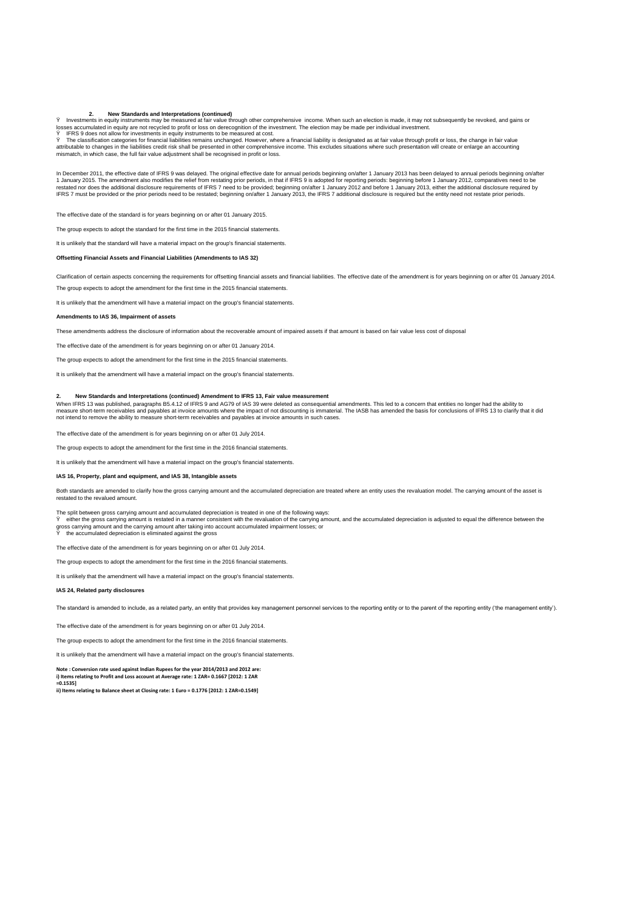#### **2. New Standards and Interpretations (continued)**

Y Investments in equity instruments may be measured at fair value through other comprehensive income. When such an election is made, it may not subsequently be revoked, and gains or<br>losses accumulated in equity are not re

Y The classification categories for financial liabilities remains unchanged. However, where a financial liability is designated as at fair value through profit or loss, the change in fair value attributable to changes in the liabilities credit risk shall be presented in other comprehensive income. This excludes situations where such presentation will create or enlarge an accounting mismatch, in which case, the full fair value adjustment shall be recognised in profit or loss.

In December 2011, the effective date of IFRS 9 was delayed. The original effective date for annual periods beginning on/after 1 January 2013 has been delayed to annual periods beginning on/after<br>1 January 2015. The amendme

The effective date of the standard is for years beginning on or after 01 January 2015.

The group expects to adopt the standard for the first time in the 2015 financial statements.

It is unlikely that the standard will have a material impact on the group's financial statements.

**Offsetting Financial Assets and Financial Liabilities (Amendments to IAS 32)**

Clarification of certain aspects concerning the requirements for offsetting financial assets and financial liabilities. The effective date of the amendment is for years beginning on or after 01 January 2014.

The group expects to adopt the amendment for the first time in the 2015 financial statements.

It is unlikely that the amendment will have a material impact on the group's financial statements.

#### **Amendments to IAS 36, Impairment of assets**

These amendments address the disclosure of information about the recoverable amount of impaired assets if that amount is based on fair value less cost of disposal

The effective date of the amendment is for years beginning on or after 01 January 2014.

The group expects to adopt the amendment for the first time in the 2015 financial statements.

It is unlikely that the amendment will have a material impact on the group's financial statements.

#### **2. New Standards and Interpretations (continued) Amendment to IFRS 13, Fair value measurement**

When IFRS 13 was published, paragraphs B5.4.12 of IFRS 9 and AG79 of IAS 39 were deleted as consequential amendments. This led to a concern that entities no longer had the ability to measure short-term receivables and payables at invoice amounts where the impact of not discounting is immaterial. The IASB has amended the basis for conclusions of IFRS 13 to clarify that it did<br>not intend to remove the ab

The effective date of the amendment is for years beginning on or after 01 July 2014.

The group expects to adopt the amendment for the first time in the 2016 financial statements.

It is unlikely that the amendment will have a material impact on the group's financial statements.

#### **IAS 16, Property, plant and equipment, and IAS 38, Intangible assets**

Both standards are amended to clarify how the gross carrying amount and the accumulated depreciation are treated where an entity uses the revaluation model. The carrying amount of the asset is restated to the revalued amount

The split between gross carrying amount and accumulated depreciation is treated in one of the following ways:

Y either the gross carrying amount is restated in a manner consistent with the revaluation of the carrying amount, and the accumulated depreciation is adjusted to equal the difference between the<br>gross carrying amount a

The effective date of the amendment is for years beginning on or after 01 July 2014.

The group expects to adopt the amendment for the first time in the 2016 financial statements.

It is unlikely that the amendment will have a material impact on the group's financial statements.

#### **IAS 24, Related party disclosures**

The standard is amended to include, as a related party, an entity that provides key management personnel services to the reporting entity or to the parent of the reporting entity ("the management entity')

The effective date of the amendment is for years beginning on or after 01 July 2014.

The group expects to adopt the amendment for the first time in the 2016 financial statements.

It is unlikely that the amendment will have a material impact on the group's financial statements.

**Note : Conversion rate used against Indian Rupees for the year 2014/2013 and 2012 are: i) Items relating to Profit and Loss account at Average rate: 1 ZAR= 0.1667 [2012: 1 ZAR =0.1535]**

**ii) Items relating to Balance sheet at Closing rate: 1 Euro = 0.1776 [2012: 1 ZAR=0.1549]**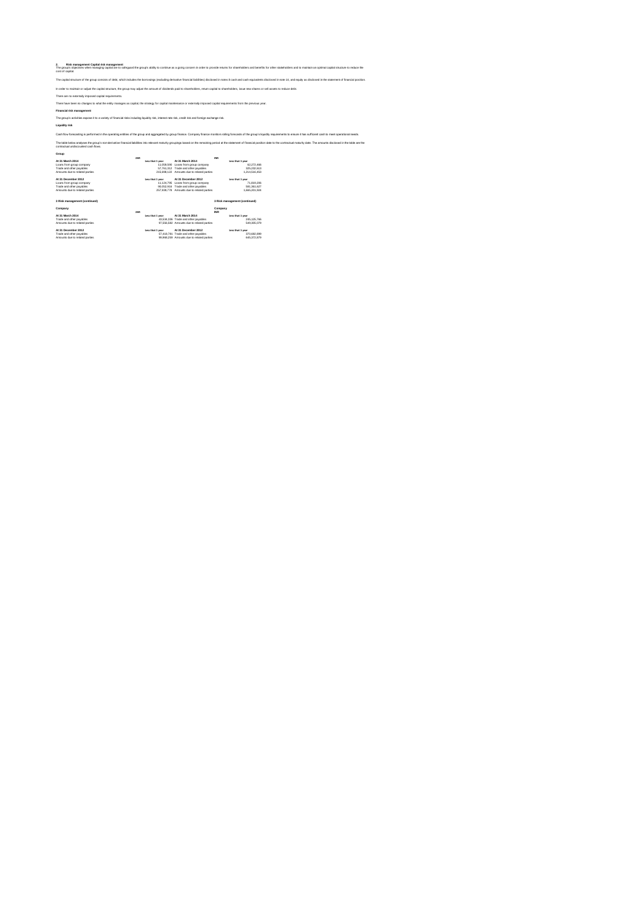2. Risk management Capital risk management<br>The group is objectives when managing capital are to safeguard the group's ability to continue as a going concern in order to provide returns for shareholders and bonefits for oth

سميت.<br>The capital studium of the group consists of debt, which includes the borrowings (excluding derivative financial kabilities) disclosed in notes 8 cash and cash equivalents disclosed in note 14, and equily as disclos

in oder in malmin oralgat the collationsUm, the group may adjust the amount of dividends performation, many man<br>There are no elemely incoard collationsUm and the strategy for capital maintenance or externally imposed capit

Cash flow forecasting is performed in the operating entities of the group and aggregated by group finance. Company finance monitors rolling forecasts of the group's liquidity requirements to ensure it has sufficient cash t

# The bable analyses the group's non-derivative financial labilities into relevant maturity groupings based on the remaining period at the statement of financial position date to the contractual maturity date. The amounts di

| Group                          |     |                   |                                           |                               |
|--------------------------------|-----|-------------------|-------------------------------------------|-------------------------------|
|                                | 748 |                   |                                           | <b>INR</b>                    |
| At 31 March 2014               |     | Less that 1 year  | At 31 March 2014                          | Less that 1 year              |
| Loans from group company       |     | 11,059,590        | Loans from group company                  | 62.272.466                    |
| Trade and other payables       |     | 57,761,312        | Trade and other payables                  | 325, 232.613                  |
| Amounts due to related parties |     | 215,698.122       | Amounts due to related parties            | 1.214.516.453                 |
| At 31 December 2012            |     | Less that 1 year. | At 31 December 2012                       | Less that 1 year              |
| Loans from group company       |     | 11.124.795        | Loans from group company                  | 71,819,206                    |
| Trade and other payables       |     | 90.052.916        | Trade and other payables                  | 581.361.627                   |
| Amounts due to related parties |     | 257 939 778       | Amounts due to related parties            | 1.665.201.924                 |
| 3 Risk management (continued)  |     |                   |                                           | 3 Risk management (continued) |
| Company                        |     |                   |                                           | Company                       |
|                                | 748 |                   |                                           | <b>INR</b>                    |
| At 31 March 2014               |     | Less that 1 year. | At 31 March 2014                          | Less that 1 year              |
| Trade and other payables       |     | 43.534.336        | Trade and other payables                  | 245.125.766                   |
| Amounts due to related parties |     |                   | 97.556.582 Amounts due to related parties | 549,305,079                   |
| At 31 December 2012            |     | Less that 1 year  | At 31 December 2012                       | Less that 1 year              |
| Trade and other payables       |     | 57.418.781        | Trade and other payables                  | 370.682.899                   |
| Amounts due to related parties |     |                   | 99,968,259 Amounts due to related parties | 645.372.879                   |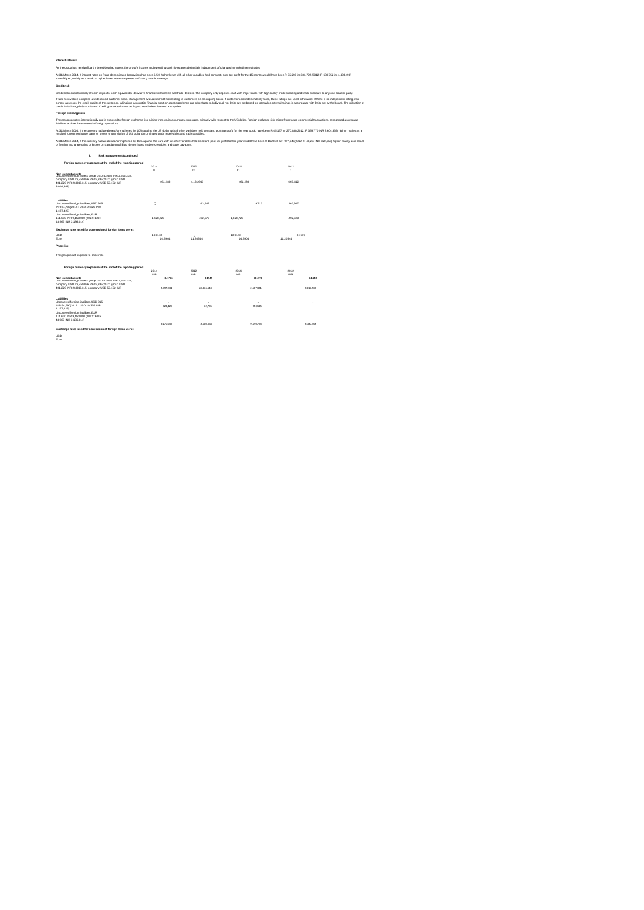hierestral natus<br>As 19 grup ha no signituat interest-beaning assets, the grup in your movement of the system of changes in market interest of changes in market interest and the system of the system of the system of the sys

Credit risk<br>Credit risk consists mainly of cash deposits, cash equivalents, derivative financial instruments and trade debbots. The company only deposits cash with major banks with high quality credit standing and limits e Trade receivables comptise a widespread customer than benefieve and the material controller and property and the compare than the compare the material material and the compare than the compare than the compare than the com

#### **Foreign exchange risk**

The group operates internationally and is exposed to foreign exchange risk arising from various currency exposures, primarily with respect to the US dollar. Foreign exchange risk arises from future commercial transactions,

At 31 Mach 2014, if the currency had weakenedstrengthend by 10% against the US dollar with all other variables held constant, post-tax profit for the year would have been R 45,157 inr 270,888(2012: R 399,770 INR 2,604,365)

At 31 March 2014, if the currency had weakened streamed by 10% against the Euro with all other vanishies held constant, post-tax profit for the year would have been R 162,873 INR 977,043(2012: R 49,267 INR 320,958) higher,

| 3.<br>Risk management (continued)                                                                                                                                                                  |                    |               |                    |                    |
|----------------------------------------------------------------------------------------------------------------------------------------------------------------------------------------------------|--------------------|---------------|--------------------|--------------------|
| Foreign currency exposure at the end of the reporting period                                                                                                                                       |                    |               |                    |                    |
|                                                                                                                                                                                                    | 2014<br>R          | 2012<br>R     | 2014<br>R          | 2012<br>R          |
| Non current assets<br>Uncovered foreign assets group USD 43,459 INR 2,602,335,<br>company USD 43,459 INR 2,602,335(2012: group USD<br>491.229 INR 26.843.115, company USD 55.172 INR<br>3.014.8631 | 461.286            | 4.161.643     | 461.286            | 467,412            |
| I labilities<br>Uncovered foreign liabilities.USD 915<br>INR 54.790(2012: USD 19.329 INR<br>1.157.425                                                                                              | ٠                  | 163,947       | 9713               | 163,947            |
| Uncovered foreign liabilities.EUR<br>111,630 INR 9.150,000 (2012: EUR<br>43.967 INR 3.186.014)                                                                                                     | 1.628.726          | 492.670       | 1.628.726          | 492,670            |
| Exchange rates used for conversion of foreign items were:                                                                                                                                          |                    |               |                    |                    |
| <b>USD</b><br>Euro                                                                                                                                                                                 | 10.6143<br>14,5904 | ٠<br>11,20544 | 10.6143<br>14,5904 | 8.4719<br>11,20544 |
| Price risk                                                                                                                                                                                         |                    |               |                    |                    |
| The group is not exposed to price risk.                                                                                                                                                            |                    |               |                    |                    |
| Foreign currency exposure at the end of the reporting period                                                                                                                                       | 2014               | 2012          | 2014               | 2012               |
|                                                                                                                                                                                                    | INR                | INR           | <b>INR</b>         | <b>INR</b>         |
| Non current assets<br>Uncovered foreign assets group USD 43,459 INR 2,602,335.<br>company USD 43,459 INR 2,602,335(2012: group USD                                                                 | 0.1776             | 0.1549        | 0.1776             | 0.1545             |
| 491.229 INR 26.843.115, company USD 55.172 INR                                                                                                                                                     | 2.597.331          | 26.866.643    | 2,597.331          | 3.017.508          |
| I labilities<br>Uncovered foreign liabilities.USD 915<br>INR 54.790(2012: USD 19.329 INR<br>1.157.425<br>Uncovered foreign liabilities.EUR                                                         | 923.125            | 62.705        | 923.125            |                    |
| 111,630 INR 9,150,000 (2012: EUR<br>43 967 INR 3 186 0141                                                                                                                                          | 9.170.755          | 3.180.568     | 9.170.755          | 3.180.568          |
| Exchange rates used for conversion of foreign items were:                                                                                                                                          |                    |               |                    |                    |

USD Euro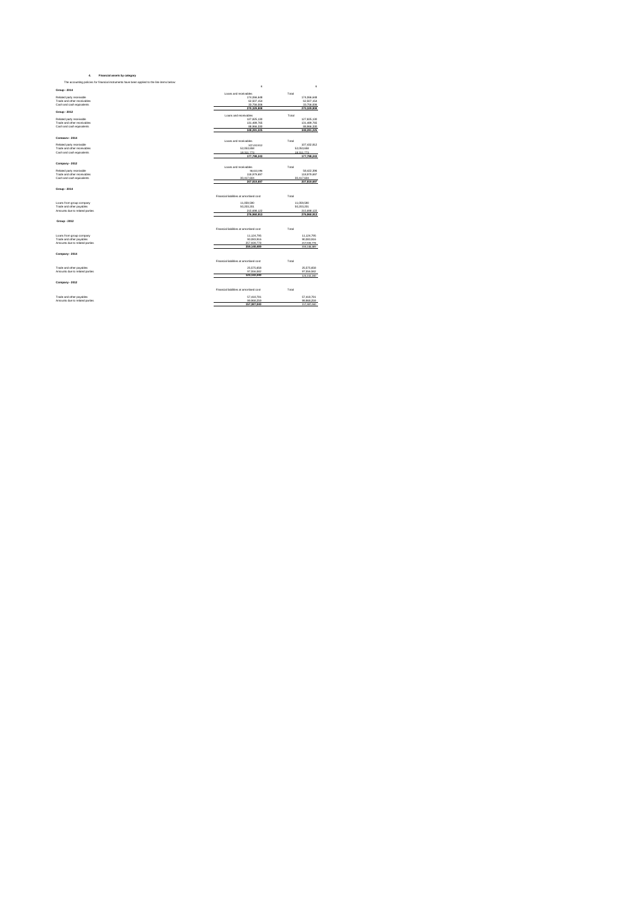| Financial assets by category<br>4.                                                           |                                         |                            |
|----------------------------------------------------------------------------------------------|-----------------------------------------|----------------------------|
| The accounting policies for financial instruments have been applied to the line items below: | R                                       | R                          |
| Group - 2014                                                                                 |                                         |                            |
|                                                                                              | Loans and receivables                   | Total                      |
| Related narty reneivable<br>Trade and other receivables                                      | 174 OFF F48<br>62.507.154               | 174 OFF R48<br>62.507.154  |
| Cash and cash equivalents                                                                    | 33,756,006                              | 33,756,006                 |
|                                                                                              | 270.329.808                             | 270.329.808                |
| Group - 2012                                                                                 |                                         |                            |
|                                                                                              | I gaze and receivables                  | Total                      |
| Related party receivable<br>Trade and other receivables                                      | 127.825.130<br>131,489,765              | 127,825,130<br>131,489.765 |
| Cash and cash equivalents                                                                    | 88,966,330                              | 88,966,330                 |
|                                                                                              | 348.281.225                             | 348,281.225                |
|                                                                                              |                                         |                            |
| Company - 2014                                                                               |                                         |                            |
|                                                                                              | Loans and receivables                   | Total                      |
| Related party receivable<br>Trade and other receivables                                      | 107.432.812<br>52.053.658               | 107 432 812<br>52.053.658  |
| Cash and cash equivalents                                                                    | 18 311 773                              | 18 311 773                 |
|                                                                                              | 177,798.243                             | 177,798.243                |
|                                                                                              |                                         |                            |
| Company - 2012                                                                               |                                         |                            |
|                                                                                              | Loans and receivables                   | Total                      |
| Related party receivable<br>Trade and other receivables                                      | <b>SR 422 396</b><br>118 979 697        | 58,422,396<br>118,979.697  |
| Cash and cash equivalents                                                                    | 30.417.604                              | 30.417.604                 |
|                                                                                              | 207.819.697                             | 207.819.697                |
|                                                                                              |                                         |                            |
| Group - 2014                                                                                 |                                         |                            |
|                                                                                              |                                         |                            |
|                                                                                              | Financial liabilities at amortised cost | Total                      |
| Loans from group company                                                                     | 11.059.590                              | 11.059.590                 |
| Trade and other payables                                                                     | 50.203.201                              | 50.203.201                 |
| Amounts due to related parties                                                               | 215.698.122                             | 215,698.122                |
|                                                                                              | 276,960,913                             | 276,960.913                |
|                                                                                              |                                         |                            |
| Group - 2012                                                                                 |                                         |                            |
|                                                                                              | Financial liabilities at amortised cost | Total                      |
|                                                                                              |                                         |                            |
| Loans from group company                                                                     | 11.124.795                              | 11.124.795                 |
| Trade and other payables                                                                     | 90.083.916                              | 90.083.916                 |
| Amounts due to related parties                                                               | 257.939.778                             | 257 939 778                |
|                                                                                              | 359.148.489                             | 359,148,489                |
| Company - 2014                                                                               |                                         |                            |
|                                                                                              |                                         |                            |
|                                                                                              | Financial liabilities at amortised cost | Total                      |
|                                                                                              |                                         |                            |
| Trade and other payables                                                                     | 25.575.658<br>97 556 582                | 25.575.658<br>97 556 582   |
| Amounts due to related parties                                                               | 123.132.240                             | 123 132 240                |
|                                                                                              |                                         |                            |
| Company - 2012                                                                               |                                         |                            |
|                                                                                              |                                         |                            |
|                                                                                              | Financial liabilities at amortised cost | Total                      |
|                                                                                              | 57,418.781                              | 57,418.781                 |
| Trade and other payables<br>Amounts due to related parties                                   | 99.968.259                              | 99.968.259                 |
|                                                                                              | 157,387,040                             | 157.387.040                |
|                                                                                              |                                         |                            |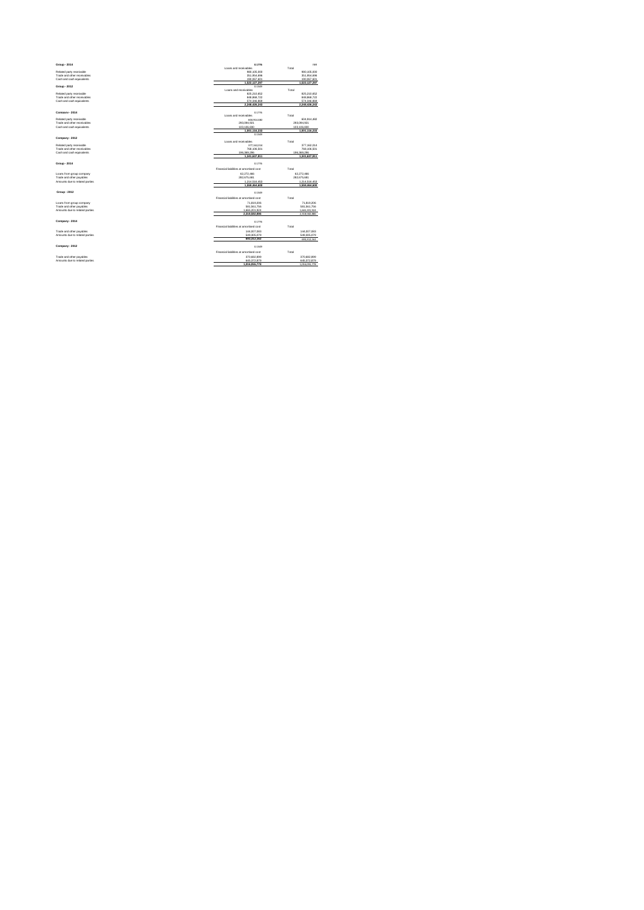| Group - 2014                   | 0.1776                                  |       | INR                          |
|--------------------------------|-----------------------------------------|-------|------------------------------|
|                                | Loans and receivables                   | Total |                              |
| Related party receivable       | 980 105 000                             |       | 980 105,000                  |
| Trade and other receivables    | 351 954 696                             |       | 351 954 696                  |
| Cash and cash equivalents      | 190.067.601                             |       | 190.067.601                  |
|                                | 1.522.127.297                           |       | 1.522.127.297                |
| Group - 2012                   | 0.1549                                  |       |                              |
|                                | Loans and receivables                   | Total |                              |
| Related party receivable       | 825.210.652                             |       | 825.210.652                  |
| Trade and other receivables    | 848.868.722                             |       | 848.868.722                  |
| Cash and cash equivalents      | 574.346.869                             |       | 574.346.869                  |
|                                | 2 248.426.243                           |       | 2.248.426.243                |
|                                | 0.1776                                  |       |                              |
| Company - 2014                 | Loans and receivables                   | Total |                              |
| Related party receivable       | 604.914.482                             |       | 604.914.482                  |
| Trade and other receivables    | 293.094.921                             |       | 293 094 921                  |
| Cash and cash equivalents.     | 103 106 830                             |       | 103 106 830                  |
|                                | 1.001.116.233                           |       | 1.001.116.233                |
|                                | 0.1549                                  |       |                              |
| Company - 2012                 |                                         |       |                              |
|                                | Loans and receivables                   | Total |                              |
| Related party receivable       | 377.162.014                             |       | 377.162.014                  |
| Trade and other receivables    | 768 106 501                             |       | 768.106.501                  |
| Cash and cash equivalents      | 196.369.296                             |       | 196.369.296                  |
|                                | 1.341.637.811                           |       | 1.341.637.811                |
|                                |                                         |       |                              |
| Group - 2014                   | 0.1776                                  |       |                              |
|                                | Financial liabilities at amortised cost | Total |                              |
|                                |                                         |       |                              |
| Loans from group company       | 62.272.466                              |       | 62.272.466                   |
| Trade and other payables       | 282.675.681                             |       | 282.675.681                  |
| Amounts due to related parties | 1.214.516.453                           |       | 1.214.516.453                |
|                                | 1.559.464.600                           |       | 1.559,464.600                |
| Group - 2012                   | 0.1549                                  |       |                              |
|                                |                                         |       |                              |
|                                | Financial liabilities at amortised cost | Total |                              |
| Loans from group company       | 71,819,206                              |       | 71,819,206                   |
| Trade and other payables       | 581.561.756                             |       | 581.561.756                  |
| Amounts due to related parties | 1.665.201.924                           |       | 1,665,201,924                |
|                                |                                         |       |                              |
|                                | 2.318.582.886                           |       | 2.318.582.886                |
|                                |                                         |       |                              |
| Company - 2014                 | 0.1776                                  |       |                              |
|                                | Financial liabilities at amortised cost | Total |                              |
|                                |                                         |       |                              |
| Trade and other payables       | 144.007.083                             |       | 144.007.083                  |
| Amounts due to related parties | 549.305.079                             |       | 549.305.079                  |
|                                | 693.312.162                             |       | 693.312.162                  |
|                                | 0.1549                                  |       |                              |
| Company - 2012                 |                                         |       |                              |
|                                | Financial liabilities at amortised cost | Total |                              |
| Trade and other payables       | 370 682 899                             |       | 370 682 899                  |
| Amounts due to related parties | 645.372.879<br>1.016.055.778            |       | 645.372.879<br>1.016.055.778 |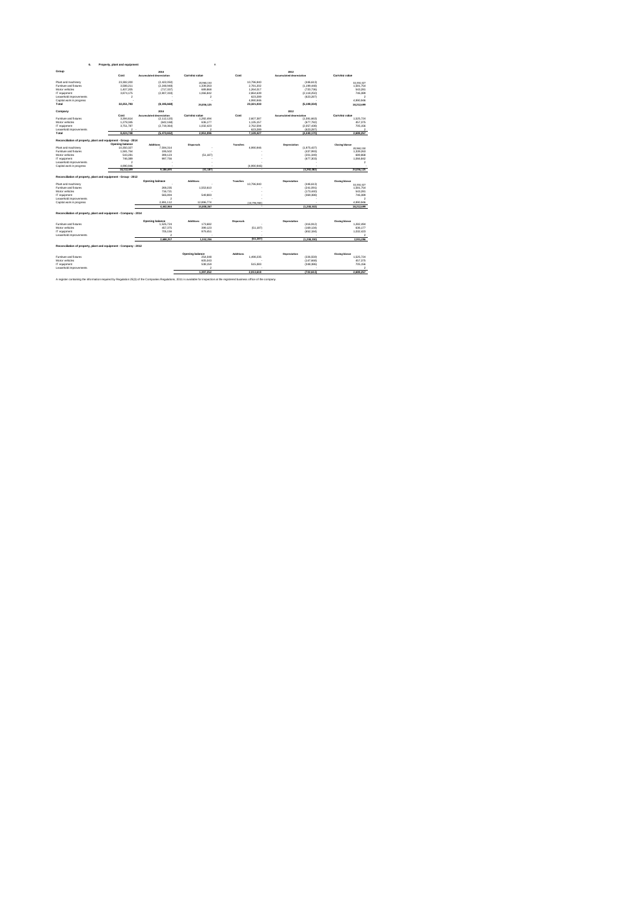|                                                                  | Property, plant and equipment |                                 |                 |                                                                                                                                                                                      |                                 |                       |
|------------------------------------------------------------------|-------------------------------|---------------------------------|-----------------|--------------------------------------------------------------------------------------------------------------------------------------------------------------------------------------|---------------------------------|-----------------------|
| Group                                                            |                               | 2014                            |                 |                                                                                                                                                                                      | 2012                            |                       |
|                                                                  | Cost                          | <b>Accumulated depreciation</b> | Carrying value  | Cost                                                                                                                                                                                 | <b>Accumulated depreciation</b> | Carrying value        |
|                                                                  |                               |                                 |                 |                                                                                                                                                                                      |                                 |                       |
| Plant and machinery                                              | 23.382.200                    | (2.422.050)                     | 20,960.150      | 10,796,940                                                                                                                                                                           | (446.613)                       | 10.350.327            |
| Furniture and fotures                                            | 3.588.211                     | (2.248.948)                     | 1.339.263       | 2.781.202                                                                                                                                                                            | (1.199.448)                     | 1.581.754             |
| Motor vehicles                                                   | 1,407,205                     | (717.337)                       | 689,868         | 1,264.017                                                                                                                                                                            | (720.736)                       | 543.281               |
| IT equipment                                                     | 3.874.175                     | (2.807.333)                     | 1.066.842       | 2 854 639                                                                                                                                                                            | (2.118.250)                     | <b>746,389</b>        |
| Leasehold improvements                                           | $\overline{2}$                |                                 | 2               | 623,289                                                                                                                                                                              | (623, 287)                      | 2                     |
| Capital work in progress                                         |                               |                                 |                 | 4.990.946                                                                                                                                                                            |                                 | 4990946               |
| Total                                                            | 32.251.793                    | (8, 195, 668)                   | 24.056.125      | 23.321.033                                                                                                                                                                           | (5, 108, 334)                   | 18.212.699            |
| Company                                                          |                               | 2014                            |                 |                                                                                                                                                                                      | 2012                            |                       |
|                                                                  | Cost                          | <b>Accumulated depreciation</b> | Carrying value  | Cost                                                                                                                                                                                 | Accumulated depreciation        | Carrying value        |
| Furniture and fotures                                            | 3.394.614                     | (2.112.120)                     | 1,282.494       | 2.607.387                                                                                                                                                                            | (1.081.663)                     | 1.525.724             |
| Motor vehicles                                                   | 1,278,345                     | (642,168)                       | 636.177         | 1.135.157                                                                                                                                                                            | (677,782)                       | 457.375               |
| IT equipment                                                     | 3.751.787                     | (2.719.364)                     | 1.032.423       | 2,762.594                                                                                                                                                                            | (2,057,438)                     | 705.156               |
| Leasehold improvements                                           | $\overline{2}$                |                                 | $\overline{2}$  | 623,289                                                                                                                                                                              | (623,287)                       | $\overline{2}$        |
|                                                                  |                               |                                 |                 |                                                                                                                                                                                      |                                 |                       |
| Total                                                            | 8,424,748                     | (5.473.652)                     | 2.951.096       | 7.128.427                                                                                                                                                                            | (4, 440, 170)                   | 2.688.257             |
| Reconciliation of property, plant and equipment - Group - 2014   |                               |                                 |                 |                                                                                                                                                                                      |                                 |                       |
|                                                                  | Opening balance               | Additions                       | Disporsals      | <b>Transfers</b>                                                                                                                                                                     | Depreciation                    | <b>Closing blance</b> |
| Plant and machinery                                              | 10.350.327                    | 7594314                         |                 | 4.990.946                                                                                                                                                                            | (1.975.437)                     | 20.960.150            |
| Fumiture and fixtures.                                           | 1.581.754                     | 195,502                         |                 |                                                                                                                                                                                      | (437.993)                       | 1.339.263             |
| Motor vehicles                                                   | 543 281                       | 399.123                         | (51.187)        |                                                                                                                                                                                      | (201.349)                       | 689,868               |
| IT equipment                                                     | 746.389                       | 997.756                         |                 |                                                                                                                                                                                      | (677, 303)                      | 1.066.842             |
| Leasehold improvements                                           | $\overline{2}$                |                                 |                 |                                                                                                                                                                                      |                                 | $\overline{2}$        |
| Capital work in progress                                         | 4.990.946                     |                                 |                 | (4.990.946)                                                                                                                                                                          |                                 |                       |
|                                                                  | 18,212,699                    | 9.186.695                       | (51.187)        |                                                                                                                                                                                      | (3.292.082)                     | 24.056.125            |
| Reconciliation of property, plant and equipment - Group - 2012   |                               |                                 |                 |                                                                                                                                                                                      |                                 |                       |
|                                                                  |                               | Opening balnace                 | Additions       | <b>Transfers</b>                                                                                                                                                                     | Depreciation                    | <b>Closing blance</b> |
| Plant and machinery                                              |                               |                                 |                 | 10.796.940                                                                                                                                                                           | (446.613)                       | 10.350.327            |
| Furniture and fotures                                            |                               | 269.235                         | 1,553,610       |                                                                                                                                                                                      | (241.091)                       | 1.581.754             |
| Motor vehicles                                                   |                               | 716.721                         |                 |                                                                                                                                                                                      | (173.440)                       | 543.281               |
| IT equipment                                                     |                               | 565,894                         | 549.883         |                                                                                                                                                                                      | (369.388)                       | 746,389               |
| Leasehold improvements                                           |                               | $\overline{ }$                  |                 |                                                                                                                                                                                      |                                 | $\overline{ }$        |
| Capital work in progress                                         |                               | 2.891.112                       | 12.896.774      | (10.796.940)                                                                                                                                                                         |                                 | 4.990.946             |
|                                                                  |                               | 4.442.964                       | 15,000.267      | - 1                                                                                                                                                                                  | (1.230.532)                     | 18.212.699            |
|                                                                  |                               |                                 |                 |                                                                                                                                                                                      |                                 |                       |
| Reconciliation of property, plant and equipment - Company - 2014 |                               |                                 |                 |                                                                                                                                                                                      |                                 |                       |
|                                                                  |                               | Opening balance                 | Additions       | <b>Disporsals</b>                                                                                                                                                                    | Depreciation                    | <b>Closing blance</b> |
| Fumiture and fixtures                                            |                               | 1.525.724                       | 173,682         |                                                                                                                                                                                      | (416.912)                       | 1,282,494             |
| Motor vehicles                                                   |                               | 457.375                         | 399.123         | (51.187)                                                                                                                                                                             | (169.134)                       | 636.177               |
| IT equipment                                                     |                               | 705.156                         | 979.451         |                                                                                                                                                                                      | (652.184)                       | 1.032.423             |
| Leasehold improvements                                           |                               | $\overline{ }$                  |                 |                                                                                                                                                                                      |                                 | $\overline{2}$        |
|                                                                  |                               | 2,688,257                       | 1,552,256       | (51.187)                                                                                                                                                                             | (1.238.230)                     | 2.951.096             |
| Reconciliation of property, plant and equipment - Company - 2012 |                               |                                 |                 |                                                                                                                                                                                      |                                 |                       |
|                                                                  |                               |                                 | Opening balance | <b>Additions</b>                                                                                                                                                                     | Depreciation                    | <b>Closing blance</b> |
| Fumiture and fixtures.                                           |                               |                                 | 254,048         | 1,498.235                                                                                                                                                                            | (226.559)                       | 1.525.724             |
| Motor vehicles                                                   |                               |                                 | 605.043         |                                                                                                                                                                                      | (147.668)                       | 457.375               |
|                                                                  |                               |                                 |                 |                                                                                                                                                                                      |                                 |                       |
| IT equipment                                                     |                               |                                 | 538.159         | 515.383                                                                                                                                                                              | (348.386)                       | 705.156               |
| Leasehold improvements                                           |                               |                                 | 2               |                                                                                                                                                                                      |                                 | $\overline{ }$        |
|                                                                  |                               |                                 | 1397252         | 2013 618                                                                                                                                                                             | (722 613)                       | 2688.257              |
|                                                                  |                               |                                 |                 | A register containing the information regulated by Regulation 25(3) of the Companies Regulations, 2011 is available for inspection at the registered business office of the company. |                                 |                       |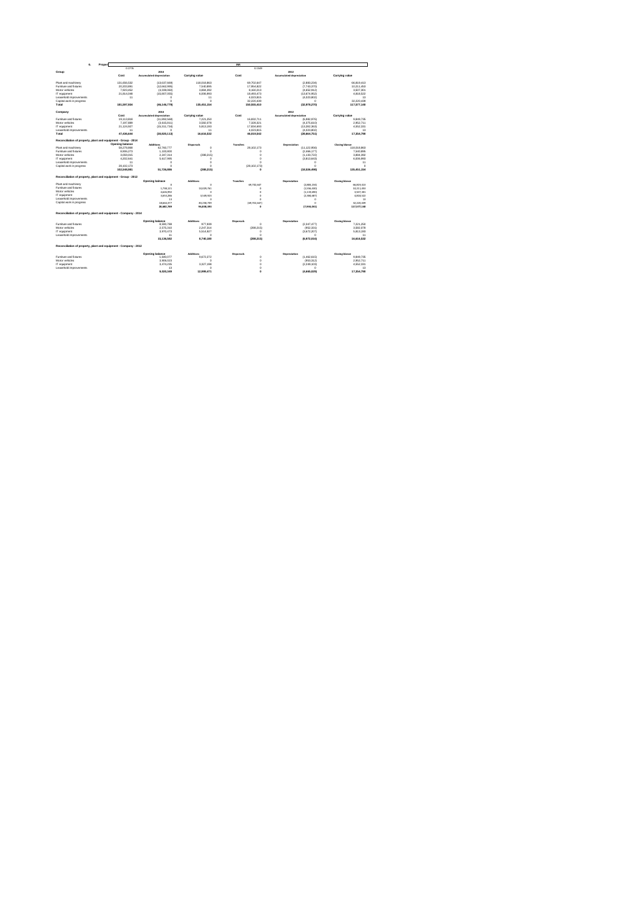| Prope<br>ĥ.                                                      |                 |                                 |                  | INR              |                                 |                       |
|------------------------------------------------------------------|-----------------|---------------------------------|------------------|------------------|---------------------------------|-----------------------|
|                                                                  | 0.1776          |                                 |                  | 0.1549           |                                 |                       |
| Group                                                            |                 | 2014                            |                  |                  | 2012                            |                       |
|                                                                  | Cost            | <b>Accumulated depreciation</b> | Carrying value   | Cost             | <b>Arrumulated depreciation</b> | Carrying value        |
|                                                                  |                 |                                 |                  |                  |                                 |                       |
| Plant and machinery                                              | 131 656 532     | (13.637.669)                    | 118 018 863      | 69.702.647       | (2883.234)                      | 66.819.413            |
| Fumiture and fotures                                             | 20,203.891      | (12.662.995)                    | 7.540.895        | 17.954.822       | (7.743.370)                     | 10.211.453            |
| Motor vehicles                                                   | 7.923.452       | (4.039.060)                     | 3.884.392        | 8.160.213        | (4.652.912)                     | 3.507.301             |
| IT equipment                                                     | 21.814.048      | (15.807.055)                    | 6.006.993        | 18,493,473       | (13.674.952)                    | 4.818.522             |
| Leasehold improvements                                           | 11              | o                               | 11               | 4.023.815        | (4.023.802)                     | 13                    |
| Capital work in progress                                         |                 | $\Omega$                        | o                | 32.220.439       | $\Omega$                        | 32.220.439            |
| Total                                                            | 181.597.934     | (46.146.779)                    | 135,451.154      | 150.555.410      | (32.978.270)                    | 117,577,140           |
|                                                                  |                 |                                 |                  |                  |                                 |                       |
| Company                                                          |                 | 2014                            |                  |                  | 2012                            |                       |
|                                                                  | Cost            | <b>Accumulated depreciation</b> | Carrying value   | Cost             | <b>Accumulated depreciation</b> | Carrying value        |
| Fumiture and fixtures                                            | 19.113.818      | (11.892.568)                    | 7 221 250        | 16.832.711       | (6.982.976)                     | 9.849.735             |
| Motor vehicles                                                   | 7.197.889       | (3.615.811)                     | 3 582 078        | 7.328.321        | (4,375.610)                     | 2952.711              |
| IT equipment                                                     | 21.124.927      | (15,311,734)                    | 5.813.193        | 17,834,693       | (13.282.363)                    | 4.552.331             |
| Leasehold improvements                                           | 11              | o                               | 11               | 4.023.815        | (4.023.802)                     | 13                    |
| Total                                                            | 47,436,644      | (30.820.113)                    | 16,616,532       | 46.019.542       | (28.664.751)                    | 17,354,790            |
|                                                                  |                 |                                 |                  |                  |                                 |                       |
| Reconciliation of property, plant and equipment - Group - 2014   |                 |                                 |                  |                  |                                 |                       |
|                                                                  | Opening balance | Additions                       | Disporsals       | <b>Transfers</b> | Depreciation                    | <b>Closing blance</b> |
| Plant and machinery                                              | 58,278,868      | 42.760.777                      | $^{\circ}$       | 28.102.173       | (11.122.956)                    | 118,018,863           |
| Fumiture and fotures                                             | 8.906.273       | 1.100.800                       | $^{\circ}$       | $\circ$          | (2,466,177)                     | 7.540.895             |
| Motor vehicles                                                   | 3.059.015       | 2.247.314                       | (288.215)        | $\circ$          | (1.133.722)                     | 3.884.392             |
| IT equipment                                                     | 4.202.641       | 5.617.995                       | o                | $\Omega$         | (3.813.643)                     | 6.006.993             |
| Leasehold improvements                                           | 11              | o                               | o.               | $\Omega$         | n                               | 11                    |
| Capital work in progress                                         | 28.102.173      | $\Omega$                        | o.               | (28.102.173)     | $\Omega$                        | o.                    |
|                                                                  | 102.548.981     | 51,726,886                      | (288.215)        | $\Omega$         | (18.536.498)                    | 135,451,154           |
|                                                                  |                 |                                 |                  |                  |                                 |                       |
| Reconciliation of property, plant and equipment - Group - 2012   |                 |                                 |                  |                  |                                 |                       |
|                                                                  |                 | Onening halpace                 | Additions        | <b>Transfers</b> | Depreciation                    | Cinsing blance        |
| Plant and machinery                                              |                 | $\Omega$                        | o                | 69,702.647       | (2.883.234)                     | 66.819.413            |
| Fumiture and fotures                                             |                 | 1.738.121                       | 10.029.761       | $\Omega$         | (1.556.430)                     | 10.211.453            |
| Motor vehicles                                                   |                 | 4.626.992                       | $\theta$         | $\circ$          | (1.119.690)                     | 3.507.301             |
| IT equipment                                                     |                 | 3853 386                        | 3.549.923        | $\Omega$         | (2.384.687)                     | 4.818.522             |
| Leasehold improvements                                           |                 | 13                              | o                | $\alpha$         | $\theta$                        | 13                    |
| Capital work in progress                                         |                 | 18.664.377                      | 83,258,709       | (69.702.647)     | $\theta$                        | 32.220.439            |
|                                                                  |                 | 28.682.789                      | 96.838.393       | $\theta$         | (7.944.041)                     | 117.577.140           |
|                                                                  |                 |                                 |                  |                  |                                 |                       |
| Reconciliation of property, plant and equipment - Company - 2014 |                 |                                 |                  |                  |                                 |                       |
|                                                                  |                 | Opening balance                 | <b>Additions</b> | Disporsals       | Depreciation                    | <b>Closing blance</b> |
| Fumiture and fixtures                                            |                 | 8.590.788                       | 977.939          | $\Omega$         | (2,347,477)                     | 7.221.250             |
| Motor vehicles                                                   |                 | 2.575.310                       | 2.247.314        | (288.215)        | (952.331)                       | 3.582.078             |
| IT equipment                                                     |                 | 3.970.473                       | 5.514.927        | $\circ$          | (3.672.207)                     | 5.813.193             |
| Leasehold improvements                                           |                 | 11                              | o                | $\circ$          | $\circ$                         | 11                    |
|                                                                  |                 | 15.136.582                      | 8.740.180        | (288.215)        | (6.972.016)                     | 16.616.532            |
|                                                                  |                 |                                 |                  |                  |                                 |                       |
| Reconciliation of property, plant and equipment - Company - 2012 |                 |                                 |                  |                  |                                 |                       |
|                                                                  |                 |                                 |                  |                  |                                 |                       |
|                                                                  |                 | Onening halance                 | Additions        | Disnorsals       | Denreriation                    | Cinsing blance        |
| Fumiture and fotures                                             |                 | 1.640.077                       | 9.672.272        | $\circ$          | (1.462.615)                     | 9.849.735             |
| Motor vehicles                                                   |                 | 3.906.023                       | o                | $\circ$          | (953.312)                       | 2.952.711             |
| IT equipment                                                     |                 | 3 474 235                       | 3.327.198        | $\Omega$         | (2.249.103)                     | 4 552 331             |
| Leasehold improvements                                           |                 | 13                              | o                | $\circ$          | o                               | 13                    |
|                                                                  |                 | 9.020.349                       | 12.999.471       | $\Omega$         | (4,665,029)                     | 17.354.790            |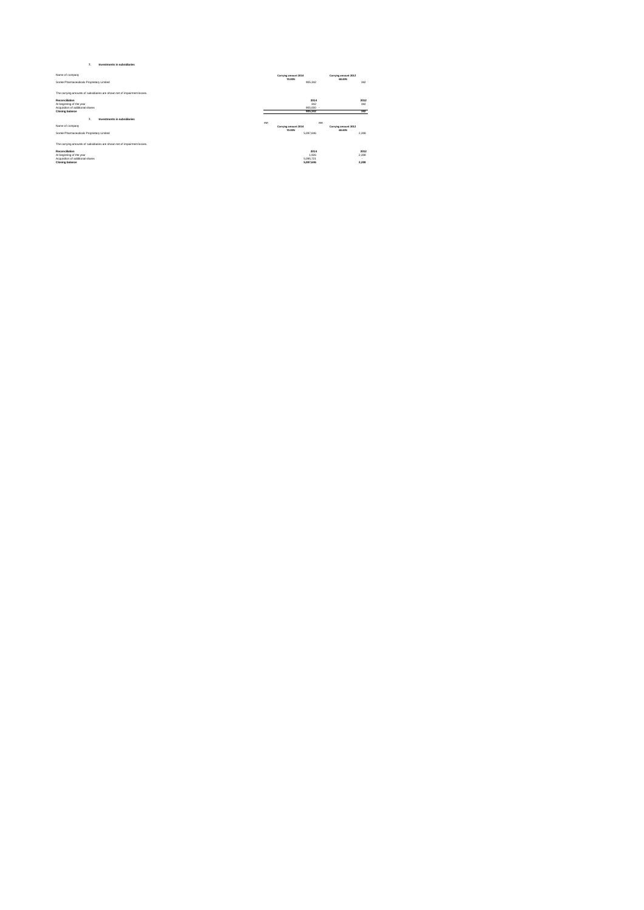| 7.<br>Investments in subsidiaries                                                                 |                                    |                                   |                                |                    |
|---------------------------------------------------------------------------------------------------|------------------------------------|-----------------------------------|--------------------------------|--------------------|
| Name of company<br>Sonke Pharmaceuticals Proprietary Limited                                      | Carrying amount 2014<br>70.00%     | 905.342                           | Carrying amount 2012<br>68.40% | 342                |
| The carrying amounts of subsidiaries are shown net of impairment losses.                          |                                    |                                   |                                |                    |
| Reconciliation<br>At beginning of the year<br>Acquisition of additional shares<br>Closing balance |                                    | 2014<br>342<br>905,000<br>905.342 |                                | 2012<br>342<br>342 |
|                                                                                                   |                                    |                                   |                                |                    |
| $\overline{ }$<br>Investments in subsidiaries                                                     |                                    |                                   |                                |                    |
| Name of company                                                                                   | <b>INR</b><br>Carrying amount 2014 | <b>INR</b>                        | Carrying amount 2012           |                    |
| Sonke Pharmaceuticals Proprietary Limited                                                         | 70.00%                             | 5.097.646                         | 68.40%                         | 2,208              |
| The carrying amounts of subsidiaries are shown net of impairment losses.                          |                                    |                                   |                                |                    |
| Reconciliation                                                                                    |                                    | 2014                              |                                | 2012               |
| At beginning of the year<br>Acquisition of additional shares                                      |                                    | 1.926<br>5.095.721                |                                | 2,208              |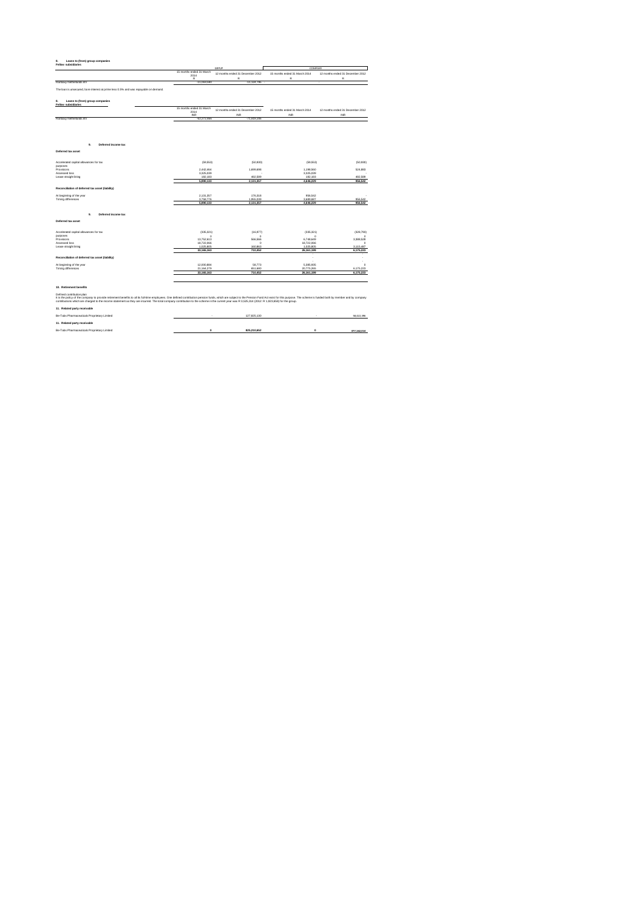| Loans to (from) group companies |  |
|---------------------------------|--|
| Fellow subsidiaries             |  |

|                                                                                                                                                                                                                               |                                       | GRPUP                                                                                                                                                                                             | COMPANY                            |                                       |
|-------------------------------------------------------------------------------------------------------------------------------------------------------------------------------------------------------------------------------|---------------------------------------|---------------------------------------------------------------------------------------------------------------------------------------------------------------------------------------------------|------------------------------------|---------------------------------------|
|                                                                                                                                                                                                                               | 15 months ended 31 March<br>2014<br>R | 12 months ended 31 December 2012<br>R                                                                                                                                                             | 15 months ended 31 March 2014<br>R | 12 months ended 31 December 2012<br>R |
| Ranbaxy Netherlands BV                                                                                                                                                                                                        | $-11.059.590$                         | $-11.124.795$                                                                                                                                                                                     |                                    |                                       |
| The loan is unsecured, bore interest at prime less 0.5% and was repayable on demand.                                                                                                                                          |                                       |                                                                                                                                                                                                   |                                    |                                       |
| Loans to (from) group companies<br>8.<br>Fellow subsidiaries                                                                                                                                                                  |                                       |                                                                                                                                                                                                   |                                    |                                       |
|                                                                                                                                                                                                                               | 15 months ended 31 March              | 12 months ended 31 December 2012                                                                                                                                                                  | 15 months ended 31 March 2014      | 12 months ended 31 December 2012      |
|                                                                                                                                                                                                                               | 2014<br><b>INR</b>                    | INR                                                                                                                                                                                               | <b>INR</b>                         | INR                                   |
| Ranbaxy Netherlands BV                                                                                                                                                                                                        | -62,272,466                           | $-71,819,206$                                                                                                                                                                                     |                                    |                                       |
|                                                                                                                                                                                                                               |                                       |                                                                                                                                                                                                   |                                    |                                       |
| ۰<br>Deferred income tax                                                                                                                                                                                                      |                                       |                                                                                                                                                                                                   |                                    |                                       |
| Deferred tax asset                                                                                                                                                                                                            |                                       |                                                                                                                                                                                                   |                                    |                                       |
| Accelerated capital allowances for tax<br>purposes                                                                                                                                                                            | (59, 553)                             | (50, 930)                                                                                                                                                                                         | (59, 553)                          | (50, 930)                             |
| Provisions                                                                                                                                                                                                                    | 2.442.464                             | 1,699,698                                                                                                                                                                                         | 1.198.560                          | 524.883                               |
| Assessed loss<br>Lease straight lining                                                                                                                                                                                        | 3.325.039<br>182, 183                 | 482 589                                                                                                                                                                                           | 3.325.039<br>182.183               | 482.589                               |
|                                                                                                                                                                                                                               | 5,890,133                             | 2.131.357                                                                                                                                                                                         | 4,646,229                          | 956.542                               |
| Reconciliation of deferred tax asset (liability)                                                                                                                                                                              |                                       |                                                                                                                                                                                                   |                                    |                                       |
| At beginning of the year                                                                                                                                                                                                      | 2,131,357                             | 176.318                                                                                                                                                                                           | 956,542                            |                                       |
| Timing differences                                                                                                                                                                                                            | 3.758.776<br>5.890.133                | 1.955.039<br>2.131.357                                                                                                                                                                            | 3.689.687<br>4.646.229             | 956.542<br>956.542                    |
| $\mathbf{Q}$<br>Deferred income tax                                                                                                                                                                                           |                                       |                                                                                                                                                                                                   |                                    |                                       |
| Deferred tax asset                                                                                                                                                                                                            |                                       |                                                                                                                                                                                                   |                                    |                                       |
| Accelerated capital allowances for tax                                                                                                                                                                                        | (335.321)                             | (16.977)                                                                                                                                                                                          | (335.321)                          | (328, 793)                            |
| purposes<br>Provisions                                                                                                                                                                                                        | $\circ$<br>13.752.613                 | $\circ$<br>566,566                                                                                                                                                                                | $\theta$<br>6,748,649              | $\circ$<br>3.388.528                  |
| Assessed loss                                                                                                                                                                                                                 | 18.722.066                            | $^{\circ}$                                                                                                                                                                                        | 18,722,066                         | $\Omega$                              |
| Lease straight lining                                                                                                                                                                                                         | 1.025.805<br>33.165.163               | 160,863<br>710.452                                                                                                                                                                                | 1.025.805<br>26.161.199            | 3.115.487<br>6.175.223                |
|                                                                                                                                                                                                                               |                                       |                                                                                                                                                                                                   |                                    |                                       |
| Reconciliation of deferred tax asset (liability)                                                                                                                                                                              |                                       |                                                                                                                                                                                                   | $\sim$                             |                                       |
| At beginning of the year                                                                                                                                                                                                      | 12.000.884                            | 58,773                                                                                                                                                                                            | 5.385.935                          | $\circ$                               |
| Timing differences                                                                                                                                                                                                            | 21.164.279<br>33.165.163              | 651,680<br>710.452                                                                                                                                                                                | 20.775.265<br>26, 161, 199         | 6.175.223<br>6.175.223                |
|                                                                                                                                                                                                                               |                                       |                                                                                                                                                                                                   |                                    |                                       |
|                                                                                                                                                                                                                               |                                       |                                                                                                                                                                                                   |                                    |                                       |
| 10. Retirement benefits                                                                                                                                                                                                       |                                       |                                                                                                                                                                                                   |                                    |                                       |
| Defined contribution plan                                                                                                                                                                                                     |                                       |                                                                                                                                                                                                   |                                    |                                       |
| It is the policy of the company to provide retirement benefits to all its full-time employees. One defined contribution pension funds, which are subject to the Pension Fund Act exist for this purpose. The scheme is funded |                                       | contributions which are charged to the income statement as they are incurred. The total company contribution to the scheme in the current year was R 3,525,314 (2012: R 1,923,658) for the group. |                                    |                                       |

11. Reband ganty recolvable<br>Be Tad 2014 Park of Definition of Definition of Definition of Definition of Definition of Definition of Definition of Definition of Definition of Definition of Definition of Definition of Defini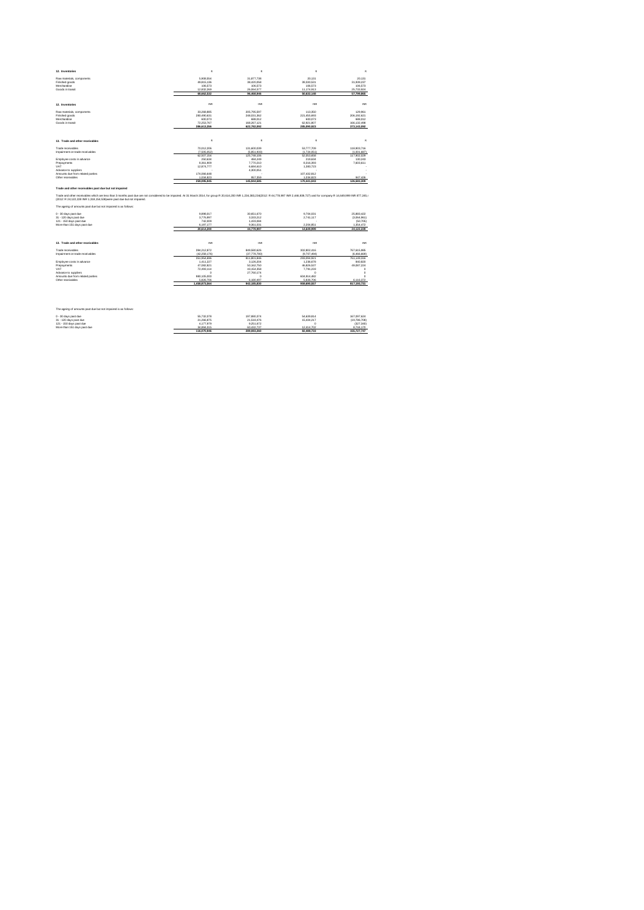| 12. Inventories                                                                                                                                                            | Ř                                                            | $\mathbf{R}$                                                    | $\mathbf{R}$                                      | $\mathbb{R}$                                                      |
|----------------------------------------------------------------------------------------------------------------------------------------------------------------------------|--------------------------------------------------------------|-----------------------------------------------------------------|---------------------------------------------------|-------------------------------------------------------------------|
| Raw materials, components                                                                                                                                                  | 5.908.554                                                    | 31,877,738                                                      | 20.131                                            | 20.131                                                            |
| Finished goods                                                                                                                                                             | 49.815.136                                                   | 38.420.058                                                      | 39.330.531                                        | 31.939.237                                                        |
| Merchandise                                                                                                                                                                | 106.573                                                      | 106,573                                                         | 106.573                                           | 106.573                                                           |
| Goods in transit                                                                                                                                                           | 12.832.269                                                   | 26.064.577                                                      | 11.174.913                                        | 25.733.924                                                        |
|                                                                                                                                                                            | 68,662,532                                                   | 96,468,946                                                      | 50.632.148                                        | 57,799,865                                                        |
|                                                                                                                                                                            |                                                              |                                                                 |                                                   |                                                                   |
| 12. Inventories                                                                                                                                                            | INR                                                          | INR                                                             | INR                                               | INR                                                               |
| Raw materials, components                                                                                                                                                  | 33,268,885                                                   | 205.795.597                                                     | 113,350                                           | 129.961                                                           |
| Finished goods                                                                                                                                                             | 280,490,631                                                  | 248,031,362                                                     | 221,455,693                                       | 206, 192, 621                                                     |
| Merchandise                                                                                                                                                                | 600.073                                                      | 688.012                                                         | 600.073                                           | 688.012                                                           |
| Goods in transit                                                                                                                                                           | 72, 253, 767                                                 | 168,267.121                                                     | 62.921.807                                        | 166.132.498                                                       |
|                                                                                                                                                                            | 386.613.356                                                  | 622.782.092                                                     | 285.090.923                                       | 373.143.092                                                       |
|                                                                                                                                                                            |                                                              |                                                                 |                                                   |                                                                   |
| 13. Trade and other receivables                                                                                                                                            | Ř                                                            | R                                                               | 8                                                 | $\mathbb{R}$                                                      |
| Trade receivables                                                                                                                                                          | 70.012.206                                                   | 131,600,039                                                     | 53,777,709                                        | 118,903,716                                                       |
| Impairment on trade receivables                                                                                                                                            | (7.505.052)                                                  | (5.851.933)                                                     | (1.724.051)                                       | (1.001.687)                                                       |
|                                                                                                                                                                            | 62.507.154                                                   | 125.748.106                                                     | 52.053.658                                        | 117,902.029                                                       |
| Employee costs in advance                                                                                                                                                  | 250.634                                                      | 484.249                                                         | 219.634                                           | 130.243                                                           |
| Prepayments                                                                                                                                                                | 8.361.909                                                    | 7.770.210                                                       | 8.316.393                                         | 7.603.611                                                         |
| VAT                                                                                                                                                                        | 12.874.777                                                   | 6,684,610                                                       | 1.383.723                                         |                                                                   |
| Advance to suppliers                                                                                                                                                       |                                                              | 4.300.051                                                       |                                                   |                                                                   |
| Amounts due from related parties<br>Other receivables                                                                                                                      | 174.066.648<br>1.034.823                                     | 957.359                                                         | 107.432.812<br>1.034.823                          | 947.426                                                           |
|                                                                                                                                                                            | 259.095.945                                                  | 145,944,585                                                     | 170,441.043                                       | 126,583,309                                                       |
|                                                                                                                                                                            |                                                              |                                                                 |                                                   |                                                                   |
| The ageing of amounts past due but not impaired is as follows:<br>0 - 30 days past due<br>31 - 120 days past due<br>121 - 150 days past due<br>More than 151 days past due | 9.898.017<br>3.776.997<br>742,009<br>6 197 177<br>20.614.200 | 30.651.670<br>3.333.212<br>1,433.084<br>9.361.031<br>44,778.997 | 9.704.031<br>2.741.117<br>2.204.851<br>14,649,999 | 25.883.422<br>(3,064,961)<br>(50, 705)<br>1.354.472<br>24.122.228 |
| 13. Trade and other receivables                                                                                                                                            | INR                                                          | <b>INR</b>                                                      | <b>INR</b>                                        | INR                                                               |
|                                                                                                                                                                            |                                                              |                                                                 |                                                   |                                                                   |
| Trade receivables                                                                                                                                                          | 394.212.872                                                  | 849.580.626                                                     | 302.802.416                                       | 767.615.985                                                       |
| Impairment on trade receivables                                                                                                                                            | (42.258.176)                                                 | (37.778.780)                                                    | (9.707.494)                                       | (6.466, 669)                                                      |
| Employee costs in advance                                                                                                                                                  | 351,954,696<br>1,411,227                                     | 811,801,846<br>3.126.204                                        | 293.094.921<br>1,236,678                          | 761.149.316<br>840.820                                            |
| Prepayments                                                                                                                                                                | 47.082.821                                                   | 50.162.750                                                      | 46.826.537                                        | 49.087.224                                                        |
| VAT                                                                                                                                                                        | 72.493.114                                                   | 43.154.358                                                      | 7,791,233                                         | $\circ$                                                           |
| Advance to suppliers                                                                                                                                                       | $\Omega$                                                     | 27.760.174                                                      | $\Omega$                                          | $\mathbf{a}$                                                      |
| Amounts due from related parties                                                                                                                                           | 980.105.000                                                  | $\Omega$                                                        | 604.914.482                                       | $\Omega$                                                          |
| Other receivables                                                                                                                                                          | 5.826.706                                                    | 6.180.497                                                       | 5.826.706                                         | 6.116.372                                                         |
|                                                                                                                                                                            | 1,458,873.564                                                | 942.185.830                                                     | 959,690,557                                       | 817.193.731                                                       |
|                                                                                                                                                                            |                                                              |                                                                 |                                                   |                                                                   |
| The ageing of amounts past due but not impaired is as follows:                                                                                                             |                                                              |                                                                 |                                                   |                                                                   |
| 0 - 30 days past due                                                                                                                                                       | 55.732.078                                                   | 197 880 374                                                     | 54.639.814                                        | 167.097.624                                                       |
| 31 - 120 days past due                                                                                                                                                     | 21,266,875                                                   | 21.518.476                                                      | 15.434.217<br>$\Omega$                            | (19, 786, 708)                                                    |
| 121 - 150 days past due                                                                                                                                                    | 4,177,979                                                    | 9,251,672                                                       |                                                   |                                                                   |
| More than 151 days past due                                                                                                                                                |                                                              |                                                                 |                                                   | (327, 340)                                                        |
|                                                                                                                                                                            | 34,894,015<br>116,070,946                                    | 60.432.737<br>289.083.260                                       | 12 414 702<br>82,488,733                          | 8,744,170<br>155,727,747                                          |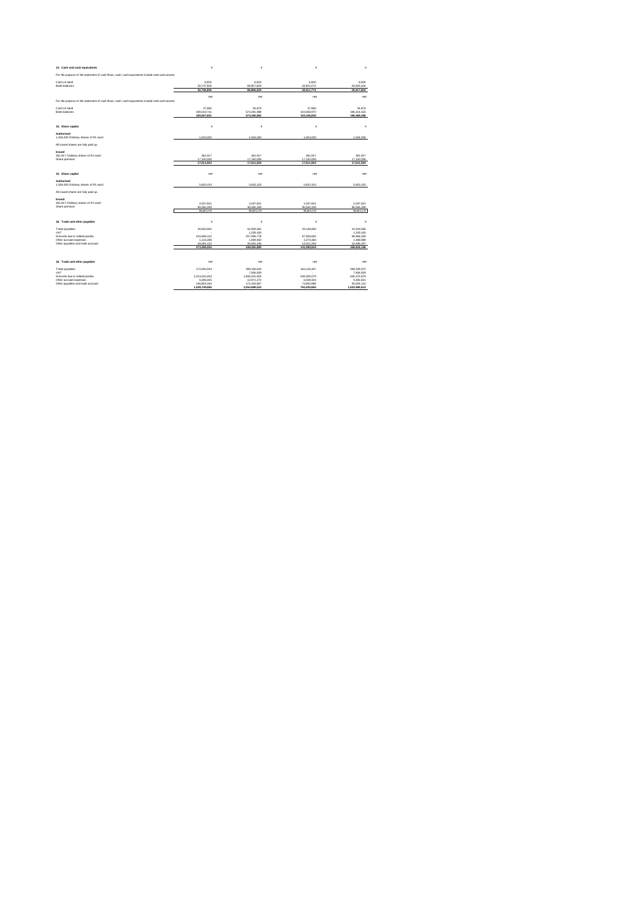| 14. Cash and cash equivalents                                                                     | $\mathbf{R}$               | $\mathbf{R}$              | $\mathbf R$              | $\theta$                 |  |  |
|---------------------------------------------------------------------------------------------------|----------------------------|---------------------------|--------------------------|--------------------------|--|--|
| For the purpose of the statement of cash flows, cash, cash equivalents include total cash assets: |                            |                           |                          |                          |  |  |
| Cash on hand                                                                                      | 8.500                      | 8.500                     | 8,500                    | 8.500                    |  |  |
| Bank balances                                                                                     | 33.747.506                 | 88.957.829                | 18.303.273               | 30.409.104               |  |  |
|                                                                                                   | 33,756,006                 | 88.966.329                | 18.311.773               | 30.417.604               |  |  |
|                                                                                                   | INR                        | INR                       | <b>INR</b>               | INR                      |  |  |
| For the purpose of the statement of cash flows, cash, cash equivalents include total cash assets: |                            |                           |                          |                          |  |  |
| Cash on hand                                                                                      | 47,860                     | 54.874                    | 47,860                   | 54.874                   |  |  |
| Bank balances                                                                                     | 190.019.741                | 574.291.988               | 103.058.970              | 196.314.422              |  |  |
|                                                                                                   | 190,067,601                | 574,346,862               | 103,106,830              | 196,369,296              |  |  |
| 15. Share capital                                                                                 | $\mathbf{R}$               | $\mathbf{R}$              | ø                        | k,                       |  |  |
| Authorised                                                                                        |                            |                           |                          |                          |  |  |
| 1,004,000 Ordinary shares of R1 each                                                              | 1,004.000                  | 1.004.000                 | 1.004.000                | 1.004.000                |  |  |
|                                                                                                   |                            |                           |                          |                          |  |  |
| All issued shares are fully paid up.                                                              |                            |                           |                          |                          |  |  |
| Issued                                                                                            |                            |                           |                          |                          |  |  |
| 361,917 Ordinary shares of R1 each                                                                | 361.917                    | 361.917                   | 361.917                  | 361.917                  |  |  |
| Share premium                                                                                     | 17,150,006<br>17,511,923   | 17.150.006<br>17.511.923  | 17,150,006<br>17.511.923 | 17.150.006<br>17.511.923 |  |  |
|                                                                                                   |                            |                           |                          |                          |  |  |
| 15. Share capital                                                                                 | INR                        | <b>INR</b>                | <b>INR</b>               | INR                      |  |  |
|                                                                                                   |                            |                           |                          |                          |  |  |
| Authorised<br>1,004,000 Ordinary shares of R1 each                                                | 5,653,153                  | 5.653.153                 | 5.653.153                | 5,653,153                |  |  |
|                                                                                                   |                            |                           |                          |                          |  |  |
| All issued shares are fully paid up.                                                              |                            |                           |                          |                          |  |  |
| Issued                                                                                            |                            |                           |                          |                          |  |  |
| 361,917 Ordinary shares of R1 each                                                                | 2.037.821                  | 2.037.821                 | 2.037.821                | 2.037.821                |  |  |
| Share premium                                                                                     | 965, 285, 349              | 96 565 349                | 96.565.349               | 96.565.349               |  |  |
|                                                                                                   | 98,603,170                 | 98,603.170                | 98,603,170               | 98,603,170               |  |  |
|                                                                                                   | $\mathbf{R}$               | R                         | $\theta$                 | k,                       |  |  |
| 16. Trade and other payables                                                                      |                            |                           |                          |                          |  |  |
| Trade payables                                                                                    | 30,563,902                 | 61.829.361                | 29.148.683               | 41.543.556               |  |  |
| VAT                                                                                               |                            | 1,229,105                 |                          | 1,229,105                |  |  |
| Amounts due to related parties<br>Other accrued expenses                                          | 215,698.122<br>1.116.288   | 257,939,778<br>1,699,450  | 97.556.582<br>1.074.360  | 99.968.259<br>1,468,889  |  |  |
| Other payables and trade accruals                                                                 | 26.081.122                 | 26,555,106                | 13.311.294               | 14,406,337               |  |  |
|                                                                                                   | 273,459,434                | 349,252,800               | 141.090.919              | 158,616,146              |  |  |
|                                                                                                   |                            |                           |                          |                          |  |  |
|                                                                                                   |                            |                           |                          |                          |  |  |
| 16. Trade and other payables                                                                      | INR                        | INR                       | <b>INR</b>               | INR                      |  |  |
| Trade payables                                                                                    | 172.094.043                | 399.156.624               | 164.125.467              | 268.195.972              |  |  |
| VAT                                                                                               |                            | 7.934.829                 |                          | 7.934.829                |  |  |
| Amounts due to related parties                                                                    | 1.214.516.453              | 1.665.201.924             | 549.305.079              | 645.372.879              |  |  |
| Other accrued expenses<br>Other payables and trade accruals                                       | 6,285.405<br>146, 853, 164 | 10.971.272<br>171,433,867 | 6.049.324<br>74.950.980  | 9.482.821<br>93,004,112  |  |  |
|                                                                                                   | 1,539,749,065              | 2,254,698,515             | 794,430,850              | 1,023,990,613            |  |  |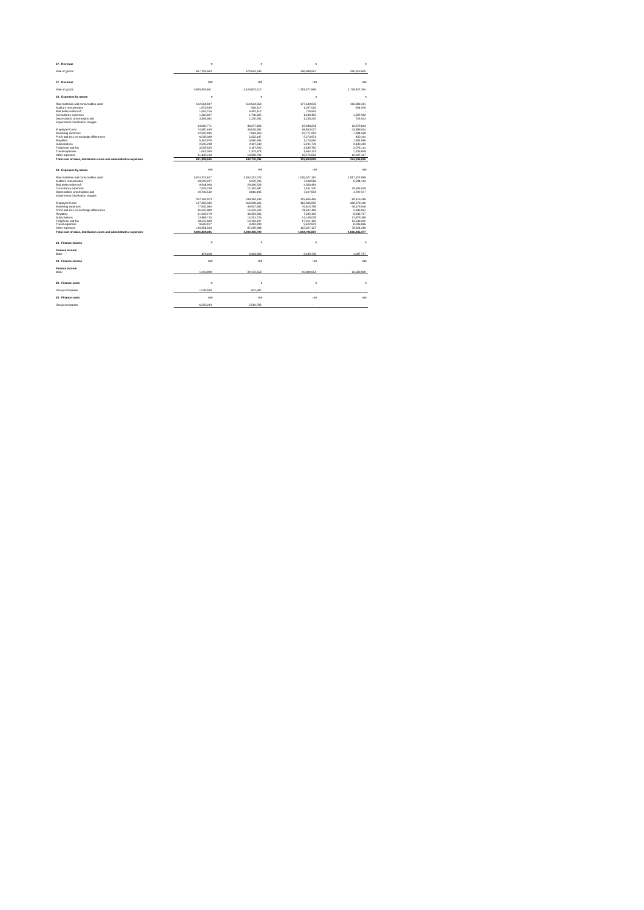| 17. Revenue                                                                           | ø                            | R                           | $\mathbf R$                  | $\mathbf{R}$                |
|---------------------------------------------------------------------------------------|------------------------------|-----------------------------|------------------------------|-----------------------------|
| Sale of goods                                                                         | 667.705.963                  | 679.514.293                 | 296.988.997                  | 265.313.605                 |
|                                                                                       |                              |                             |                              |                             |
| 17. Revenue                                                                           | INR                          | <b>INR</b>                  | <b>INR</b>                   | INR                         |
| Sale of goods                                                                         | 4.005.434.691                | 4,426,803,212               | 1,781,577,666                | 1,728,427,394               |
| 18. Expenses by nature                                                                | Ř                            | $\mathbf{R}$                | $\mathbf R$                  | $\mathbf{R}$                |
| Raw materials and consumables used                                                    | 512.564.597                  | 514.564.653                 | 177.540.032                  | 166,889,481                 |
| Auditors remuneration<br>Bad debts written off                                        | 1,672,539<br>1,657,316       | 916.517<br>4.492.412        | 1.257.016<br>726.561         | 804.976                     |
| Consultancy expenses                                                                  | 1.320.637                    | 1.748.825                   | 1.240.453                    | 1.587.592                   |
| Depreciation, amortisation and                                                        | 3,292.082                    | 1,230,532                   | 1.238.230                    | 722.613                     |
| impairments Distribution charges                                                      |                              |                             |                              |                             |
|                                                                                       | 33,800.771                   | 38.277.403                  | 19.938.231                   | 13,679,843                  |
| Employee Costs<br>Marketing expenses                                                  | 74,580.469<br>12,940.935     | 49.019.952<br>7.663.850     | 68.853.027<br>12.771.013     | 43.989.024<br>7.394.558     |
| Profit and loss on exchange differences                                               | 6,038,389                    | 2,222,147                   | 5,273,971                    | 450,164                     |
| Royalties                                                                             | 5.324.978                    | 5.580.485                   | 1.215.594                    | 1,281,066                   |
| Subscriptions                                                                         | 2,245,238                    | 2,187,640                   | 2.191.778                    | 2.130.483                   |
| Telephone and fax                                                                     | 3,008.535                    | 2.167.900                   | 2.835.760                    | 2.078.114                   |
| Travel expenses                                                                       | 1,614,309                    | 1,303,674                   | 1.604.121                    | 1,233,659                   |
| Other expenses<br>Total cost of sales, distribution costs and administrative expenses | 21.146.150<br>681.206.945    | 13.399.796<br>644,775,786   | 19.175.022<br>315,860,809    | 12.007.427<br>254.249.000   |
|                                                                                       |                              |                             |                              |                             |
|                                                                                       |                              |                             |                              |                             |
| 18. Expenses by nature                                                                | INR                          | <b>INR</b>                  | <b>INR</b>                   | INR                         |
| Raw materials and consumables used                                                    | 3.074.772.627                | 3.352.212.723               | 1.065.027.187                | 1.087.227.889               |
| Auditors remuneration                                                                 | 10.033.227                   | 5.970.795                   | 7.540.588                    | 5.244.143                   |
| Bad debts written off                                                                 | 9.941.908                    | 29,266.528                  | 4.358.494                    |                             |
| Consultancy expenses                                                                  | 7.922.238                    | 11.392.997                  | 7.441.230                    | 10.342.619                  |
| Depreciation, amortisation and                                                        | 19.748.542                   | 8.016.495<br>$\sim$         | 7.427.894                    | 4.707.577                   |
| impairments Distribution charges                                                      | 202.764.073                  | 249.364.189                 | 119.605.465                  | 89.119.498                  |
| Employee Costs                                                                        | 447.393.335                  | 319.348.221                 | 413.035.555                  | 286.573.446                 |
| Marketing expenses                                                                    | 77,630.084                   | 49.927.362                  | 76.610.756                   | 48.173.016                  |
| Profit and loss on exchange differences                                               | 36,223.089                   | 14.476.528                  | 31.637.499                   | 2.932.664                   |
| Royalties                                                                             | 31,943,479                   | 36,354,951                  | 7.292.106                    | 8.345.707                   |
| <b>Subscriptions</b>                                                                  | 13,468.734                   | 14,251,726                  | 13.148.038                   | 13,879,368                  |
| Telephone and fax                                                                     | 18,047,600                   | 14.123.127                  | 17.011.158                   | 13.538.202                  |
| Travel expenses                                                                       | 9,683.917                    | 8.492.990                   | 9.622.801                    | 8.036.866                   |
| Other expenses<br>Total cost of sales, distribution costs and administrative expenses | 126,851,530<br>4.086.424.385 | 87,295,088<br>4.200.493.720 | 115,027,127<br>1,894.785.897 | 78,224,280<br>1,656,345,277 |
|                                                                                       |                              |                             |                              |                             |
| 19 Finance income                                                                     | Ř                            | $\mathbf{R}$                | R                            | k,                          |
|                                                                                       |                              |                             |                              |                             |
| Finance income                                                                        |                              |                             |                              |                             |
| Rank                                                                                  | 174.018                      | 3.403.503                   | 3.180.745                    | 4.087.797                   |
| 19. Finance income                                                                    | INR                          | <b>INR</b>                  | INR                          | INR                         |
| Finance income                                                                        |                              |                             |                              |                             |
| Bank                                                                                  | 1.043.899                    | 22.172.658                  | 19.080.654                   | 26.630.599                  |
|                                                                                       |                              |                             |                              |                             |
| 20. Finance costs                                                                     | Ř                            | R                           | R                            | $\mathbb{R}$                |
| Group companies                                                                       | 1,039.590                    | 847,287                     |                              |                             |
|                                                                                       |                              |                             |                              |                             |
| 20. Finance costs                                                                     | INR                          | <b>INR</b>                  | <b>INR</b>                   | INR                         |
| Group companies                                                                       | 6,236,293                    | 5.519.785                   |                              |                             |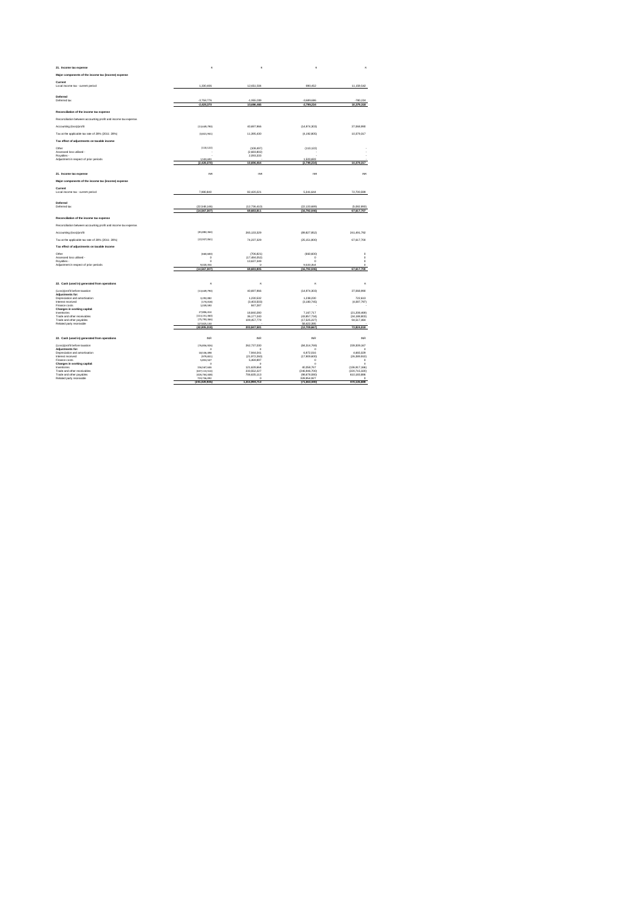| 21. Income tax expense                                           | $\theta$                       | $\mathbf{R}$               | $\mathsf R$                    | R                         |
|------------------------------------------------------------------|--------------------------------|----------------------------|--------------------------------|---------------------------|
| Major components of the income tax (income) expense              |                                |                            |                                |                           |
| Current                                                          |                                |                            |                                |                           |
| Local income tax - current period                                | 1,330,406                      | 12,651,504                 | 890,452                        | 11,159,542                |
| Deferred                                                         |                                |                            |                                |                           |
| Deferred tax                                                     | $-3.758.776$                   | $-1.955.039$               | $-3.689.686$                   | -780.224                  |
|                                                                  | $-2,428,370$                   | 10,696,465                 | -2,799,234                     | 10,379,318                |
| Reconciliation of the income tax expense                         |                                |                            |                                |                           |
| Reconciliation between accounting profit and income tax expense. |                                |                            |                                |                           |
| Accounting (loss)/profit                                         | (13, 649, 790)                 | 40,697.966                 | (14, 974, 303)                 | 37,068,990                |
| Tax at the applicable tax rate of 28% (2011: 28%)                | (3,821,941)                    | 11,395,430                 | (4, 192, 805)                  | 10,379,317                |
| Tax effect of adjustments on taxable income                      |                                |                            |                                |                           |
| Other                                                            | (110, 122)                     | (108, 497)                 | (110, 122)                     |                           |
| Assessed loss utilised -                                         |                                | (2,683,802)                |                                |                           |
| Royaties -<br>Adjustment in respect of prior periods             | 1.503.693                      | 2,093,333                  | 1,503,693                      |                           |
|                                                                  | (2,428,370)                    | 10,696,464                 | (2,799,234)                    | 10,379,317                |
|                                                                  | INR                            |                            | INR                            |                           |
| 21. Income tax expense                                           |                                | INR                        |                                | INR                       |
| Major components of the income tax (income) expense              |                                |                            |                                |                           |
| Current<br>Local income tax - current period                     | 7,980,840                      | 82,420,221                 | 5,341,644                      | 72,700,599                |
|                                                                  |                                |                            |                                |                           |
| Deferred                                                         |                                |                            |                                |                           |
| Deferred tax                                                     | (22.548.146)<br>(14, 567, 307) | (12.736.410)<br>69,683,811 | (22.133.689)<br>(16, 792, 046) | (5,082,893)<br>67,617,707 |
| Reconciliation of the income tax expense                         |                                |                            |                                |                           |
| Reconciliation between accounting profit and income tax expense. |                                |                            |                                |                           |
|                                                                  |                                |                            |                                |                           |
| Accounting (loss)/profit                                         | (81, 882, 364)                 | 265,133,329                | (89, 827, 852)                 | 241,491,792               |
| Tax at the applicable tax rate of 28% (2011: 28%)                | (22, 927, 061)                 | 74,237,329                 | (25, 151, 800)                 | 67,617,700                |
| Tax effect of adjustments on taxable income                      |                                |                            |                                |                           |
| Other                                                            | (660, 600)                     | (706, 821)                 | (660, 600)                     | $\circ$                   |
| Assessed loss utilsed -<br>Royaties -                            | $\Omega$<br>$\circ$            | (17,484,062)<br>13,637,349 | $\Omega$<br>$\theta$           | $\Omega$<br>$\circ$       |
| Adjustment in respect of prior periods                           | 9.020.354                      | ø                          | 9.020.354                      | n                         |
|                                                                  | (14.567.307)                   | 69.683.805                 | (16.792.046)                   | 67.617.700                |
|                                                                  |                                |                            |                                |                           |
| 22. Cash (used in) generated from operations                     | $\mathbf R$                    | $\mathbb{R}$               | $\mathbf{R}$                   | $\mathsf R$               |
| (Loss)/profit before taxation                                    | (13,649,790)                   | 40,697,966                 | (14, 974, 303)                 | 37,068,990                |
| Adjustments for:<br>Depreciation and amortisation                | 3,292.082                      | 1,230,532                  | 1,238,230                      | 722.613                   |
| Interest received                                                | (174, 018)                     | (3,403,503)                | (3, 180, 745)                  | (4,087,797)               |
| Finance costs                                                    | 1,039,590                      | 847,287                    |                                |                           |
| Changes in working capital:<br>Inventories                       | 27,806,414                     | 18,840,280                 | 7,167,717                      | (21, 208, 469)            |
| Trade and other receivables                                      | (113, 151, 360)                | 36,177,240                 | (43.857.734)                   | (34 188 803)              |
| Trade and other payables                                         | (75, 793, 366)                 | 109,457,779                | (17, 525, 227)                 | 94,517,484                |
| Related party receivable                                         | 127,825,130<br>(42,805,318)    | 203.847.581                | 58,422,395<br>(12.709.667)     | 72.824.018                |
|                                                                  |                                |                            |                                |                           |
| 22. Cash (used in) generated from operations                     | <b>INR</b>                     | <b>INR</b>                 | <b>INR</b>                     | <b>INR</b>                |
| (Loss)/profit before taxation                                    | (76,856,926)                   | 262,737,030                | (84, 314, 769)                 | 239,309,167               |
| Adjustments for:<br>Depreciation and amortisation                | $\theta$<br>18,536,498         | $\Delta$<br>7,944,041      | $\Omega$<br>6,972,016          | $\theta$<br>4,665,029     |
| Interest received                                                | (979.831)                      | (21, 972, 260)             | (17,909,600)                   | (26, 389, 910)            |
| Finance costs                                                    | 5,853,547                      | 5,469,897                  | $\circ$                        | $\circ$                   |
| Changes in working capital:<br>Inventories                       | $\theta$<br>156,567,646        | $\circ$<br>121.628.664     | $\mathfrak o$<br>40.358.767    | $\circ$<br>(136.917.166)  |
| Trade and other receivables                                      | (637, 113, 514)                | 233,552,227                | (246, 946, 700)                | (220, 715, 320)           |
| Trade and other payables                                         | (426.764.448)<br>219.236.092   | 706,635,113                | (98.678.080)<br>328 954 927    | 610.183.886               |
| Related party receivable                                         | (241.020.935)                  | $\Omega$<br>1.315.994.713  | (71.563.440)                   | $\Omega$<br>470.135.688   |
|                                                                  |                                |                            |                                |                           |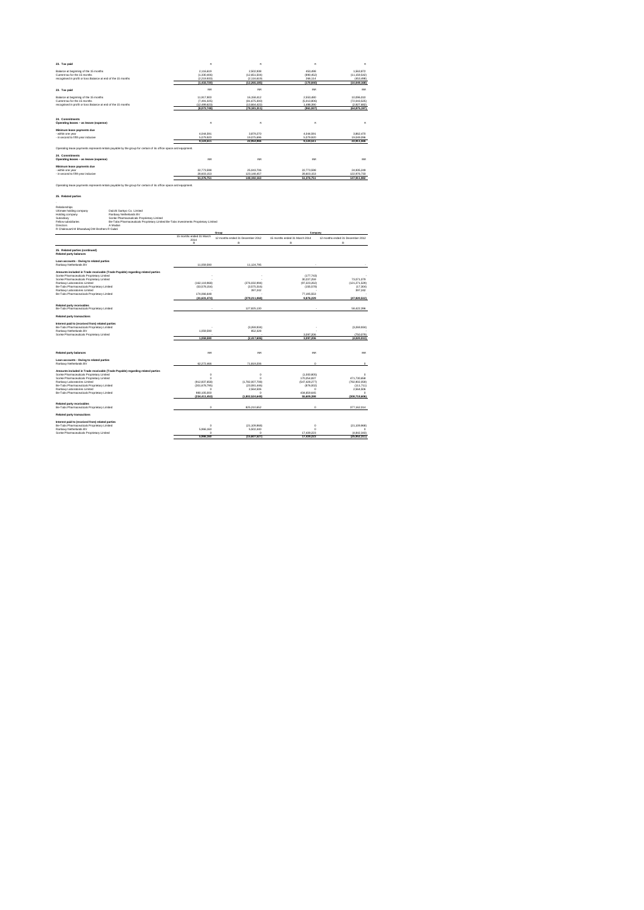| 23. Tax paid                                                                                    |                                                                                                                                  | Ŕ                                  | $\mathbb R$                      | $\mathbf{R}$                  | $\mathsf R$                      |
|-------------------------------------------------------------------------------------------------|----------------------------------------------------------------------------------------------------------------------------------|------------------------------------|----------------------------------|-------------------------------|----------------------------------|
| Balance at beginning of the 15 months                                                           |                                                                                                                                  | 2,116,619                          | 2,502,938                        | 453,498                       | 1,563,872                        |
| Current tax for the 15 months                                                                   |                                                                                                                                  | (1,330,406)                        | (12.651.504)<br>(2.116.619)      | (890.452)<br>266.114          | (11, 159, 542)                   |
| recognised in profit or loss Balance at end of the 15 months                                    |                                                                                                                                  | (2.219.933<br>(1,433,720)          | (12, 265, 185)                   | (170, 840)                    | (453.498)<br>(10,049,168)        |
|                                                                                                 |                                                                                                                                  |                                    |                                  |                               |                                  |
| 23. Tax paid                                                                                    |                                                                                                                                  | INR                                | INR                              | INR                           | <b>INR</b>                       |
| Balance at beginning of the 15 months                                                           |                                                                                                                                  | 11917900                           | 16 158 412                       | 2.553.480                     | 10.096.010                       |
| Current tay for the 15 months<br>recognised in profit or loss Balance at end of the 15 months   |                                                                                                                                  | (7.491.025)<br>(12.499.623         | (81,675,300)<br>(13.664.422      | (5.013.806)<br>1,498,390      | (72.043.525)<br>(2.927.682)      |
|                                                                                                 |                                                                                                                                  | (8.072.748)                        | (79.181.311)                     | (961.937)                     | (64.875.197)                     |
|                                                                                                 |                                                                                                                                  |                                    |                                  |                               |                                  |
| 24. Commitments                                                                                 |                                                                                                                                  |                                    |                                  |                               |                                  |
| Operating leases - as lessee (expense)                                                          |                                                                                                                                  | R                                  | R                                | $\theta$                      | $\theta$                         |
| Minimum lease payments due                                                                      |                                                                                                                                  | 4 044 591                          | 3.879.270                        | 4 044 591                     | 3 862 470                        |
| - within one year<br>- in second to fifth year inclusive                                        |                                                                                                                                  | 5.079.920                          | 19.075.696                       | 5.079.920                     | 19.049.095                       |
|                                                                                                 |                                                                                                                                  | 9.124.511                          | 22.954.966                       | 9.124.511                     | 22.911.566                       |
|                                                                                                 | Operating lease payments represent rentals payable by the group for certain of its office space and equipment.                   |                                    |                                  |                               |                                  |
| 24. Commitments                                                                                 |                                                                                                                                  |                                    |                                  |                               |                                  |
| Operating leases - as lessee (expense)                                                          |                                                                                                                                  | INR                                | INR                              | INR                           | INR                              |
| Minimum lease payments due                                                                      |                                                                                                                                  |                                    |                                  |                               |                                  |
| - within one year                                                                               |                                                                                                                                  | 22 773 598                         | 25.043.706                       | 22.773.598                    | 24 935 249                       |
| - in second to fifth year inclusive                                                             |                                                                                                                                  | 28,603,153<br>51,376,751           | 123 148 457<br>148.192.163       | 28,603,153<br>51.376.751      | 122 976 733<br>147,911,982       |
|                                                                                                 |                                                                                                                                  |                                    |                                  |                               |                                  |
|                                                                                                 | Operating lease payments represent rentals payable by the group for certain of its office space and equipment.                   |                                    |                                  |                               |                                  |
|                                                                                                 |                                                                                                                                  |                                    |                                  |                               |                                  |
| 25. Related parties                                                                             |                                                                                                                                  |                                    |                                  |                               |                                  |
|                                                                                                 |                                                                                                                                  |                                    |                                  |                               |                                  |
| Relationships<br>Ultimate holding company                                                       | Daiichi Sankyo Co. Limited                                                                                                       |                                    |                                  |                               |                                  |
| Holding company                                                                                 | Ranhaw Netherlands RV                                                                                                            |                                    |                                  |                               |                                  |
| Subsidiary<br>Fellow subsidiaries                                                               | Sonke Pharmaceuticals Proprietary Limited<br>Be-Tabs Pharmaceuticals Proprietary Limited Be-Tabs Investments Proprietary Limited |                                    |                                  |                               |                                  |
| <b>Directors</b>                                                                                | A Madan                                                                                                                          |                                    |                                  |                               |                                  |
| R Chakravarti M Bharadwaj DW Brothers R Gulati                                                  |                                                                                                                                  |                                    | Gross                            | Compam                        |                                  |
|                                                                                                 |                                                                                                                                  | 15 months ended 31 March           | 12 months ended 31 December 2012 | 15 months ended 31 March 2014 | 12 months ended 31 December 2012 |
|                                                                                                 |                                                                                                                                  | 2014<br>R                          | $\mathbb{R}$                     | R                             | R                                |
|                                                                                                 |                                                                                                                                  |                                    |                                  |                               |                                  |
|                                                                                                 |                                                                                                                                  |                                    |                                  |                               |                                  |
| 25. Related parties (continued)                                                                 |                                                                                                                                  |                                    |                                  |                               |                                  |
| Related party balances                                                                          |                                                                                                                                  |                                    |                                  |                               |                                  |
| Loan accounts - Owing to related parties<br>Ranbaxy Netherlands BV                              |                                                                                                                                  | 11.059.590                         | 11.124.795                       |                               |                                  |
|                                                                                                 |                                                                                                                                  |                                    |                                  |                               |                                  |
| Sonke Pharmaceuticals Proprietary Limited                                                       | Amounts included in Trade receivable (Trade Payable) regarding related parties                                                   |                                    |                                  | (177, 743)                    |                                  |
| Sonke Pharmaceuticals Proprietary Limited                                                       |                                                                                                                                  |                                    |                                  | 30.237.259                    | 73.071.079                       |
| Ranbaxy Laboratories Limited<br>Be-Tabs Pharmaceuticals Proprietary Limited                     |                                                                                                                                  | (162.119.968)<br>(53.578.154)      | (276.032.994)<br>(3.575.316)     | (97.223.262)                  | (121.271.529)<br>(17.304)        |
| Ranbaxy Laboratories Limited                                                                    |                                                                                                                                  |                                    | 397.242                          | (155, 578)                    | 397.242                          |
| Be-Tabs Pharmaceuticals Proprietary Limited                                                     |                                                                                                                                  | 174.066.648                        |                                  | 77.195.553                    |                                  |
|                                                                                                 |                                                                                                                                  | (41, 631, 474)                     | (279,211,068)                    | 9,876,229                     | (47,820,512)                     |
| Related party receivables                                                                       |                                                                                                                                  |                                    |                                  |                               |                                  |
| Be-Tabs Pharmaceuticals Proprietary Limited                                                     |                                                                                                                                  |                                    | 127,825,130                      |                               | 58,422,396                       |
| Related party transactions                                                                      |                                                                                                                                  |                                    |                                  |                               |                                  |
| Interest paid to (received from) related parties                                                |                                                                                                                                  |                                    |                                  |                               |                                  |
| Be-Tabs Pharmaceuticals Proprietary Limited<br>Ranbaxy Netherlands BV                           |                                                                                                                                  | 1.059.590                          | (3.269.934)<br>852 328           |                               | (3.269.934)                      |
| Sonke Pharmaceuticals Proprietary Limited                                                       |                                                                                                                                  |                                    |                                  | 3.097.206                     | (750.079)                        |
|                                                                                                 |                                                                                                                                  | 1.059.590                          | (2,417,606)                      | 3.097.206                     | (4.020.013)                      |
|                                                                                                 |                                                                                                                                  |                                    |                                  |                               |                                  |
| Related party balances                                                                          |                                                                                                                                  | INR                                | INR                              | INR                           | INR                              |
|                                                                                                 |                                                                                                                                  |                                    |                                  |                               |                                  |
| Loan accounts - Owing to related parties<br>Ranbaxy Netherlands BV                              |                                                                                                                                  | R2 272 AFF                         | 71 819 206                       | n                             | $\Omega$                         |
|                                                                                                 |                                                                                                                                  |                                    |                                  |                               |                                  |
| Sonke Pharmaceuticals Proprietary Limited                                                       | Amounts included in Trade receivable (Trade Pavable) regarding related parties                                                   | $\circ$                            | o                                | (1,000,805)                   | $\circ$                          |
| Sonke Pharmaceuticals Proprietary Limited                                                       |                                                                                                                                  | $\circ$                            | $\circ$                          | 170,254,837                   | 471,730,658                      |
| Ranbaxy Laboratories Limited<br>Be-Tabs Pharmaceuticals Proprietary Limited                     |                                                                                                                                  | (912, 837, 658)<br>(301, 678, 795) | (1,782,007,708)<br>(23,081,446)  | (547,428,277)<br>(876, 002)   | (782,902,059)<br>(111, 711)      |
| Ranbaxy Laboratories Limited                                                                    |                                                                                                                                  | o<br>980 105 000                   | 2,564,506<br>$\theta$            | $\circ$<br>434 659 645        | 2,564,506<br>o                   |
| Be-Tabs Pharmaceuticals Proprietary Limited                                                     |                                                                                                                                  | (234,411,453)                      | (1,802,524,648)                  | 55,609,398                    | (308, 718, 606)                  |
| Related party receivables                                                                       |                                                                                                                                  |                                    |                                  |                               |                                  |
| Be-Tabs Pharmaceuticals Proprietary Limited                                                     |                                                                                                                                  | n                                  | 825,210,652                      | $\circ$                       | 377,162,014                      |
|                                                                                                 |                                                                                                                                  |                                    |                                  |                               |                                  |
| Related party transactions                                                                      |                                                                                                                                  |                                    |                                  |                               |                                  |
| Interest paid to (received from) related parties<br>Be-Tabs Pharmaceuticals Proprietary Limited |                                                                                                                                  | $\circ$                            | (21, 109, 968)                   | $\circ$                       | (21, 109, 968)                   |
| Ranbaxy Netherlands BV<br>Sonke Pharmaceuticals Proprietary Limited                             |                                                                                                                                  | 5,966,160<br>$\theta$              | 5,502,440<br>$\theta$            | $\circ$<br>17 439 223         | $\circ$<br>(4.842.343)           |